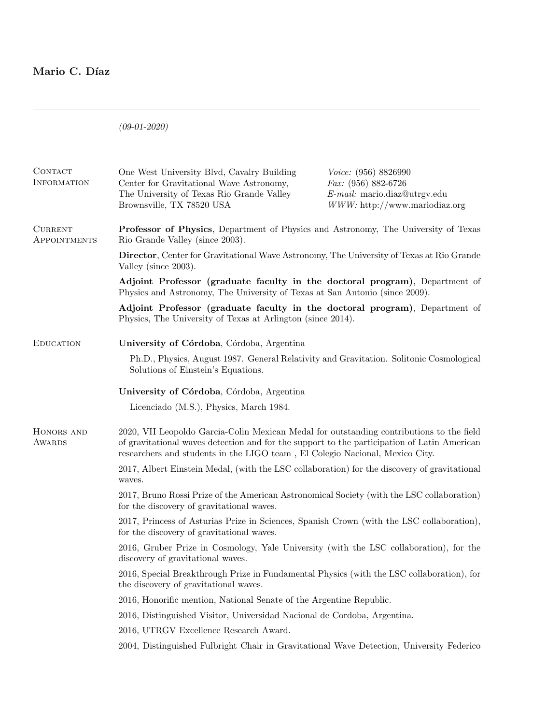# Mario C. Díaz

(09-01-2020)

| CONTACT<br><b>INFORMATION</b>  | One West University Blvd, Cavalry Building<br>Center for Gravitational Wave Astronomy,<br>The University of Texas Rio Grande Valley<br>Brownsville, TX 78520 USA                                                                                                        | Voice: (956) 8826990<br><i>Fax:</i> $(956) 882-6726$<br>$E$ -mail: mario.diaz@utrgv.edu<br>$WWW:$ http://www.mariodiaz.org |  |
|--------------------------------|-------------------------------------------------------------------------------------------------------------------------------------------------------------------------------------------------------------------------------------------------------------------------|----------------------------------------------------------------------------------------------------------------------------|--|
| <b>CURRENT</b><br>APPOINTMENTS | <b>Professor of Physics</b> , Department of Physics and Astronomy, The University of Texas<br>Rio Grande Valley (since 2003).                                                                                                                                           |                                                                                                                            |  |
|                                | <b>Director, Center for Gravitational Wave Astronomy, The University of Texas at Rio Grande</b><br>Valley (since 2003).                                                                                                                                                 |                                                                                                                            |  |
|                                | Adjoint Professor (graduate faculty in the doctoral program), Department of<br>Physics and Astronomy, The University of Texas at San Antonio (since 2009).                                                                                                              |                                                                                                                            |  |
|                                | Adjoint Professor (graduate faculty in the doctoral program), Department of<br>Physics, The University of Texas at Arlington (since 2014).                                                                                                                              |                                                                                                                            |  |
| <b>EDUCATION</b>               | University of Córdoba, Córdoba, Argentina                                                                                                                                                                                                                               |                                                                                                                            |  |
|                                | Ph.D., Physics, August 1987. General Relativity and Gravitation. Solitonic Cosmological<br>Solutions of Einstein's Equations.                                                                                                                                           |                                                                                                                            |  |
|                                | University of Córdoba, Córdoba, Argentina                                                                                                                                                                                                                               |                                                                                                                            |  |
|                                | Licenciado (M.S.), Physics, March 1984.                                                                                                                                                                                                                                 |                                                                                                                            |  |
| HONORS AND<br><b>AWARDS</b>    | 2020, VII Leopoldo Garcia-Colin Mexican Medal for outstanding contributions to the field<br>of gravitational waves detection and for the support to the participation of Latin American<br>researchers and students in the LIGO team, El Colegio Nacional, Mexico City. |                                                                                                                            |  |
|                                | 2017, Albert Einstein Medal, (with the LSC collaboration) for the discovery of gravitational<br>waves.                                                                                                                                                                  |                                                                                                                            |  |
|                                | 2017, Bruno Rossi Prize of the American Astronomical Society (with the LSC collaboration)<br>for the discovery of gravitational waves.                                                                                                                                  |                                                                                                                            |  |
|                                | 2017, Princess of Asturias Prize in Sciences, Spanish Crown (with the LSC collaboration),<br>for the discovery of gravitational waves.                                                                                                                                  |                                                                                                                            |  |
|                                | 2016, Gruber Prize in Cosmology, Yale University (with the LSC collaboration), for the<br>discovery of gravitational waves.                                                                                                                                             |                                                                                                                            |  |
|                                | 2016, Special Breakthrough Prize in Fundamental Physics (with the LSC collaboration), for<br>the discovery of gravitational waves.                                                                                                                                      |                                                                                                                            |  |
|                                | 2016, Honorific mention, National Senate of the Argentine Republic.                                                                                                                                                                                                     |                                                                                                                            |  |
|                                | 2016, Distinguished Visitor, Universidad Nacional de Cordoba, Argentina.                                                                                                                                                                                                |                                                                                                                            |  |
|                                | 2016, UTRGV Excellence Research Award.                                                                                                                                                                                                                                  |                                                                                                                            |  |
|                                | 2004, Distinguished Fulbright Chair in Gravitational Wave Detection, University Federico                                                                                                                                                                                |                                                                                                                            |  |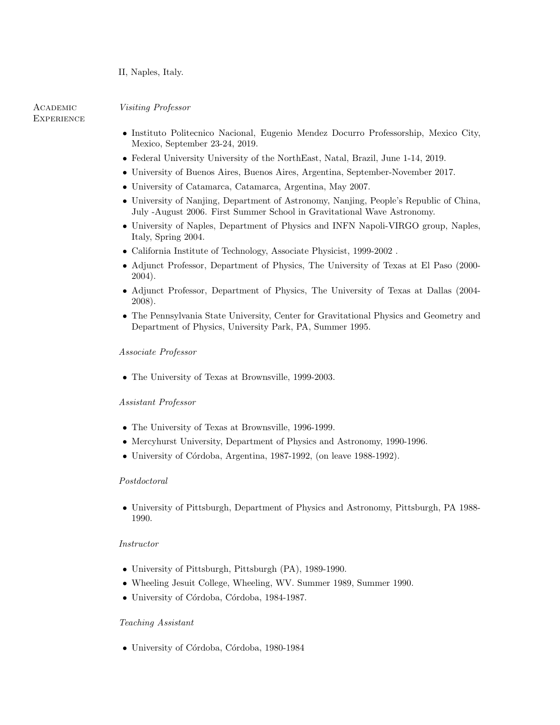## II, Naples, Italy.

**ACADEMIC EXPERIENCE**  Visiting Professor

- Instituto Politecnico Nacional, Eugenio Mendez Docurro Professorship, Mexico City, Mexico, September 23-24, 2019.
- Federal University University of the NorthEast, Natal, Brazil, June 1-14, 2019.
- University of Buenos Aires, Buenos Aires, Argentina, September-November 2017.
- University of Catamarca, Catamarca, Argentina, May 2007.
- University of Nanjing, Department of Astronomy, Nanjing, People's Republic of China, July -August 2006. First Summer School in Gravitational Wave Astronomy.
- University of Naples, Department of Physics and INFN Napoli-VIRGO group, Naples, Italy, Spring 2004.
- California Institute of Technology, Associate Physicist, 1999-2002 .
- Adjunct Professor, Department of Physics, The University of Texas at El Paso (2000- 2004).
- Adjunct Professor, Department of Physics, The University of Texas at Dallas (2004- 2008).
- The Pennsylvania State University, Center for Gravitational Physics and Geometry and Department of Physics, University Park, PA, Summer 1995.

## Associate Professor

• The University of Texas at Brownsville, 1999-2003.

## Assistant Professor

- The University of Texas at Brownsville, 1996-1999.
- Mercyhurst University, Department of Physics and Astronomy, 1990-1996.
- $\bullet$  University of Córdoba, Argentina, 1987-1992, (on leave 1988-1992).

## Postdoctoral

• University of Pittsburgh, Department of Physics and Astronomy, Pittsburgh, PA 1988- 1990.

## Instructor

- University of Pittsburgh, Pittsburgh (PA), 1989-1990.
- Wheeling Jesuit College, Wheeling, WV. Summer 1989, Summer 1990.
- University of Córdoba, Córdoba, 1984-1987.

## Teaching Assistant

• University of Córdoba, Córdoba, 1980-1984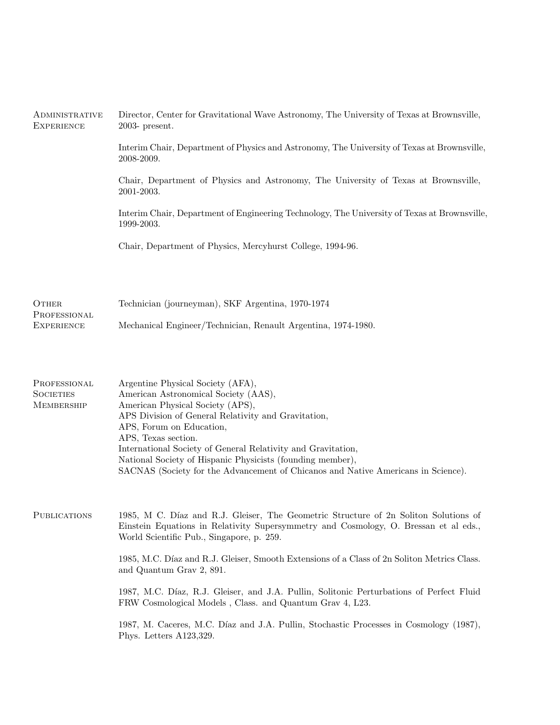| ADMINISTRATIVE<br><b>EXPERIENCE</b>            | Director, Center for Gravitational Wave Astronomy, The University of Texas at Brownsville,<br>$2003$ - present.                                                                                                                                                                                                                                                                                                                            |  |  |
|------------------------------------------------|--------------------------------------------------------------------------------------------------------------------------------------------------------------------------------------------------------------------------------------------------------------------------------------------------------------------------------------------------------------------------------------------------------------------------------------------|--|--|
|                                                | Interim Chair, Department of Physics and Astronomy, The University of Texas at Brownsville,<br>2008-2009.                                                                                                                                                                                                                                                                                                                                  |  |  |
|                                                | Chair, Department of Physics and Astronomy, The University of Texas at Brownsville,<br>2001-2003.                                                                                                                                                                                                                                                                                                                                          |  |  |
|                                                | Interim Chair, Department of Engineering Technology, The University of Texas at Brownsville,<br>1999-2003.                                                                                                                                                                                                                                                                                                                                 |  |  |
|                                                | Chair, Department of Physics, Mercyhurst College, 1994-96.                                                                                                                                                                                                                                                                                                                                                                                 |  |  |
| OTHER<br>PROFESSIONAL<br><b>EXPERIENCE</b>     | Technician (journeyman), SKF Argentina, 1970-1974                                                                                                                                                                                                                                                                                                                                                                                          |  |  |
|                                                | Mechanical Engineer/Technician, Renault Argentina, 1974-1980.                                                                                                                                                                                                                                                                                                                                                                              |  |  |
| PROFESSIONAL<br><b>SOCIETIES</b><br>MEMBERSHIP | Argentine Physical Society (AFA),<br>American Astronomical Society (AAS),<br>American Physical Society (APS),<br>APS Division of General Relativity and Gravitation,<br>APS, Forum on Education,<br>APS, Texas section.<br>International Society of General Relativity and Gravitation,<br>National Society of Hispanic Physicists (founding member),<br>SACNAS (Society for the Advancement of Chicanos and Native Americans in Science). |  |  |
| <b>PUBLICATIONS</b>                            | 1985, M C. Díaz and R.J. Gleiser, The Geometric Structure of 2n Soliton Solutions of<br>Einstein Equations in Relativity Supersymmetry and Cosmology, O. Bressan et al eds.,<br>World Scientific Pub., Singapore, p. 259.                                                                                                                                                                                                                  |  |  |
|                                                | 1985, M.C. Díaz and R.J. Gleiser, Smooth Extensions of a Class of 2n Soliton Metrics Class.<br>and Quantum Grav 2, 891.                                                                                                                                                                                                                                                                                                                    |  |  |
|                                                | 1987, M.C. Díaz, R.J. Gleiser, and J.A. Pullin, Solitonic Perturbations of Perfect Fluid<br>FRW Cosmological Models, Class. and Quantum Grav 4, L23.                                                                                                                                                                                                                                                                                       |  |  |
|                                                | 1987, M. Caceres, M.C. Díaz and J.A. Pullin, Stochastic Processes in Cosmology (1987),<br>Phys. Letters A123,329.                                                                                                                                                                                                                                                                                                                          |  |  |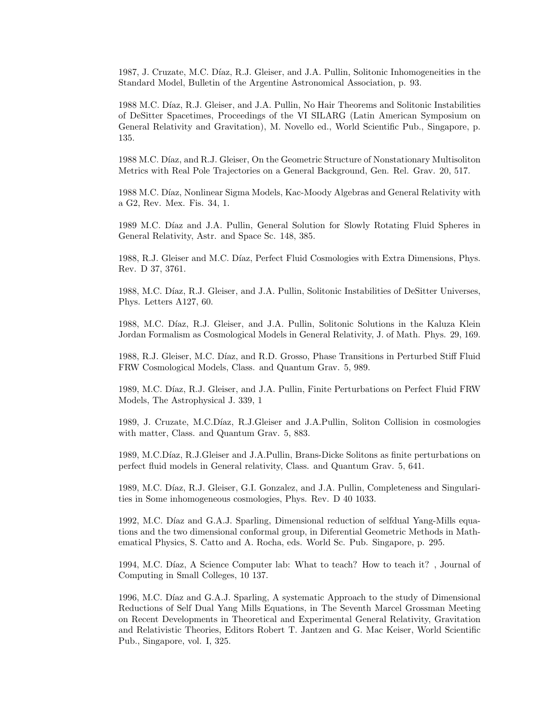1987, J. Cruzate, M.C. Díaz, R.J. Gleiser, and J.A. Pullin, Solitonic Inhomogeneities in the Standard Model, Bulletin of the Argentine Astronomical Association, p. 93.

1988 M.C. Díaz, R.J. Gleiser, and J.A. Pullin, No Hair Theorems and Solitonic Instabilities of DeSitter Spacetimes, Proceedings of the VI SILARG (Latin American Symposium on General Relativity and Gravitation), M. Novello ed., World Scientific Pub., Singapore, p. 135.

1988 M.C. Díaz, and R.J. Gleiser, On the Geometric Structure of Nonstationary Multisoliton Metrics with Real Pole Trajectories on a General Background, Gen. Rel. Grav. 20, 517.

1988 M.C. Díaz, Nonlinear Sigma Models, Kac-Moody Algebras and General Relativity with a G2, Rev. Mex. Fis. 34, 1.

1989 M.C. Díaz and J.A. Pullin, General Solution for Slowly Rotating Fluid Spheres in General Relativity, Astr. and Space Sc. 148, 385.

1988, R.J. Gleiser and M.C. Díaz, Perfect Fluid Cosmologies with Extra Dimensions, Phys. Rev. D 37, 3761.

1988, M.C. Díaz, R.J. Gleiser, and J.A. Pullin, Solitonic Instabilities of DeSitter Universes, Phys. Letters A127, 60.

1988, M.C. Díaz, R.J. Gleiser, and J.A. Pullin, Solitonic Solutions in the Kaluza Klein Jordan Formalism as Cosmological Models in General Relativity, J. of Math. Phys. 29, 169.

1988, R.J. Gleiser, M.C. Díaz, and R.D. Grosso, Phase Transitions in Perturbed Stiff Fluid FRW Cosmological Models, Class. and Quantum Grav. 5, 989.

1989, M.C. Díaz, R.J. Gleiser, and J.A. Pullin, Finite Perturbations on Perfect Fluid FRW Models, The Astrophysical J. 339, 1

1989, J. Cruzate, M.C.Díaz, R.J.Gleiser and J.A.Pullin, Soliton Collision in cosmologies with matter, Class. and Quantum Grav. 5, 883.

1989, M.C.Díaz, R.J.Gleiser and J.A.Pullin, Brans-Dicke Solitons as finite perturbations on perfect fluid models in General relativity, Class. and Quantum Grav. 5, 641.

1989, M.C. Díaz, R.J. Gleiser, G.I. Gonzalez, and J.A. Pullin, Completeness and Singularities in Some inhomogeneous cosmologies, Phys. Rev. D 40 1033.

1992, M.C. Díaz and G.A.J. Sparling, Dimensional reduction of selfdual Yang-Mills equations and the two dimensional conformal group, in Diferential Geometric Methods in Mathematical Physics, S. Catto and A. Rocha, eds. World Sc. Pub. Singapore, p. 295.

1994, M.C. Díaz, A Science Computer lab: What to teach? How to teach it?, Journal of Computing in Small Colleges, 10 137.

1996, M.C. Díaz and G.A.J. Sparling, A systematic Approach to the study of Dimensional Reductions of Self Dual Yang Mills Equations, in The Seventh Marcel Grossman Meeting on Recent Developments in Theoretical and Experimental General Relativity, Gravitation and Relativistic Theories, Editors Robert T. Jantzen and G. Mac Keiser, World Scientific Pub., Singapore, vol. I, 325.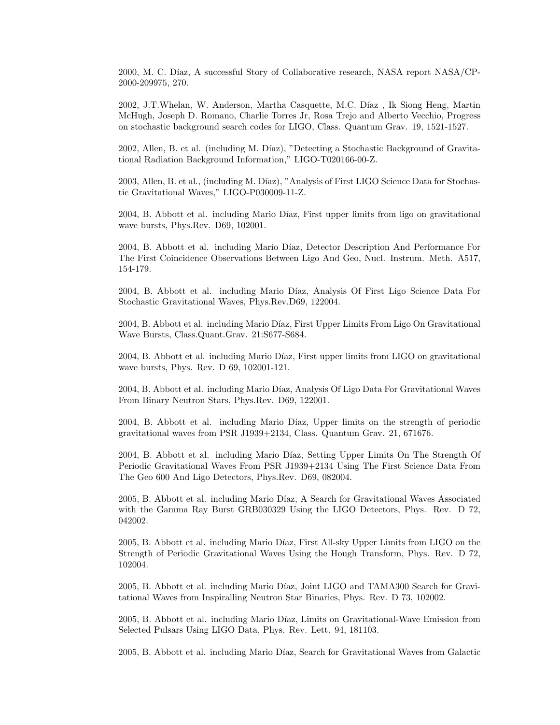2000, M. C. D´ıaz, A successful Story of Collaborative research, NASA report NASA/CP-2000-209975, 270.

2002, J.T.Whelan, W. Anderson, Martha Casquette, M.C. Díaz, Ik Siong Heng, Martin McHugh, Joseph D. Romano, Charlie Torres Jr, Rosa Trejo and Alberto Vecchio, Progress on stochastic background search codes for LIGO, Class. Quantum Grav. 19, 1521-1527.

2002, Allen, B. et al. (including M. Díaz), "Detecting a Stochastic Background of Gravitational Radiation Background Information," LIGO-T020166-00-Z.

2003, Allen, B. et al., (including M. Díaz), "Analysis of First LIGO Science Data for Stochastic Gravitational Waves," LIGO-P030009-11-Z.

2004, B. Abbott et al. including Mario Díaz, First upper limits from ligo on gravitational wave bursts, Phys.Rev. D69, 102001.

2004, B. Abbott et al. including Mario Díaz, Detector Description And Performance For The First Coincidence Observations Between Ligo And Geo, Nucl. Instrum. Meth. A517, 154-179.

2004, B. Abbott et al. including Mario Díaz, Analysis Of First Ligo Science Data For Stochastic Gravitational Waves, Phys.Rev.D69, 122004.

2004, B. Abbott et al. including Mario Díaz, First Upper Limits From Ligo On Gravitational Wave Bursts, Class.Quant.Grav. 21:S677-S684.

2004, B. Abbott et al. including Mario Díaz, First upper limits from LIGO on gravitational wave bursts, Phys. Rev. D 69, 102001-121.

2004, B. Abbott et al. including Mario D´ıaz, Analysis Of Ligo Data For Gravitational Waves From Binary Neutron Stars, Phys.Rev. D69, 122001.

2004, B. Abbott et al. including Mario Díaz, Upper limits on the strength of periodic gravitational waves from PSR J1939+2134, Class. Quantum Grav. 21, 671676.

2004, B. Abbott et al. including Mario Díaz, Setting Upper Limits On The Strength Of Periodic Gravitational Waves From PSR J1939+2134 Using The First Science Data From The Geo 600 And Ligo Detectors, Phys.Rev. D69, 082004.

2005, B. Abbott et al. including Mario Díaz, A Search for Gravitational Waves Associated with the Gamma Ray Burst GRB030329 Using the LIGO Detectors, Phys. Rev. D 72, 042002.

2005, B. Abbott et al. including Mario Díaz, First All-sky Upper Limits from LIGO on the Strength of Periodic Gravitational Waves Using the Hough Transform, Phys. Rev. D 72, 102004.

2005, B. Abbott et al. including Mario Díaz, Joint LIGO and TAMA300 Search for Gravitational Waves from Inspiralling Neutron Star Binaries, Phys. Rev. D 73, 102002.

2005, B. Abbott et al. including Mario D´ıaz, Limits on Gravitational-Wave Emission from Selected Pulsars Using LIGO Data, Phys. Rev. Lett. 94, 181103.

2005, B. Abbott et al. including Mario Díaz, Search for Gravitational Waves from Galactic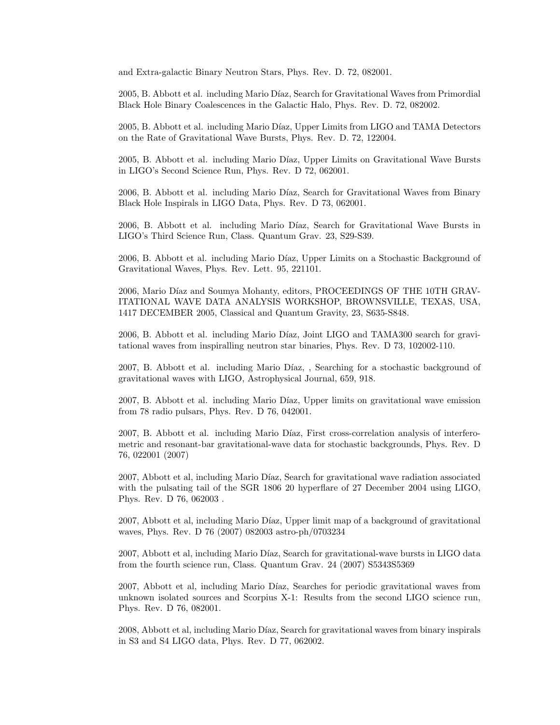and Extra-galactic Binary Neutron Stars, Phys. Rev. D. 72, 082001.

2005, B. Abbott et al. including Mario Díaz, Search for Gravitational Waves from Primordial Black Hole Binary Coalescences in the Galactic Halo, Phys. Rev. D. 72, 082002.

2005, B. Abbott et al. including Mario D´ıaz, Upper Limits from LIGO and TAMA Detectors on the Rate of Gravitational Wave Bursts, Phys. Rev. D. 72, 122004.

2005, B. Abbott et al. including Mario Díaz, Upper Limits on Gravitational Wave Bursts in LIGO's Second Science Run, Phys. Rev. D 72, 062001.

2006, B. Abbott et al. including Mario Díaz, Search for Gravitational Waves from Binary Black Hole Inspirals in LIGO Data, Phys. Rev. D 73, 062001.

2006, B. Abbott et al. including Mario Díaz, Search for Gravitational Wave Bursts in LIGO's Third Science Run, Class. Quantum Grav. 23, S29-S39.

2006, B. Abbott et al. including Mario Díaz, Upper Limits on a Stochastic Background of Gravitational Waves, Phys. Rev. Lett. 95, 221101.

2006, Mario Díaz and Soumya Mohanty, editors, PROCEEDINGS OF THE 10TH GRAV-ITATIONAL WAVE DATA ANALYSIS WORKSHOP, BROWNSVILLE, TEXAS, USA, 1417 DECEMBER 2005, Classical and Quantum Gravity, 23, S635-S848.

2006, B. Abbott et al. including Mario Díaz, Joint LIGO and TAMA300 search for gravitational waves from inspiralling neutron star binaries, Phys. Rev. D 73, 102002-110.

2007, B. Abbott et al. including Mario Díaz, , Searching for a stochastic background of gravitational waves with LIGO, Astrophysical Journal, 659, 918.

2007, B. Abbott et al. including Mario Díaz, Upper limits on gravitational wave emission from 78 radio pulsars, Phys. Rev. D 76, 042001.

2007, B. Abbott et al. including Mario Díaz, First cross-correlation analysis of interferometric and resonant-bar gravitational-wave data for stochastic backgrounds, Phys. Rev. D 76, 022001 (2007)

2007, Abbott et al, including Mario Díaz, Search for gravitational wave radiation associated with the pulsating tail of the SGR 1806 20 hyperflare of 27 December 2004 using LIGO, Phys. Rev. D 76, 062003 .

2007, Abbott et al, including Mario Díaz, Upper limit map of a background of gravitational waves, Phys. Rev. D 76 (2007) 082003 astro-ph/0703234

2007, Abbott et al, including Mario Díaz, Search for gravitational-wave bursts in LIGO data from the fourth science run, Class. Quantum Grav. 24 (2007) S5343S5369

2007, Abbott et al, including Mario Díaz, Searches for periodic gravitational waves from unknown isolated sources and Scorpius X-1: Results from the second LIGO science run, Phys. Rev. D 76, 082001.

2008, Abbott et al, including Mario Díaz, Search for gravitational waves from binary inspirals in S3 and S4 LIGO data, Phys. Rev. D 77, 062002.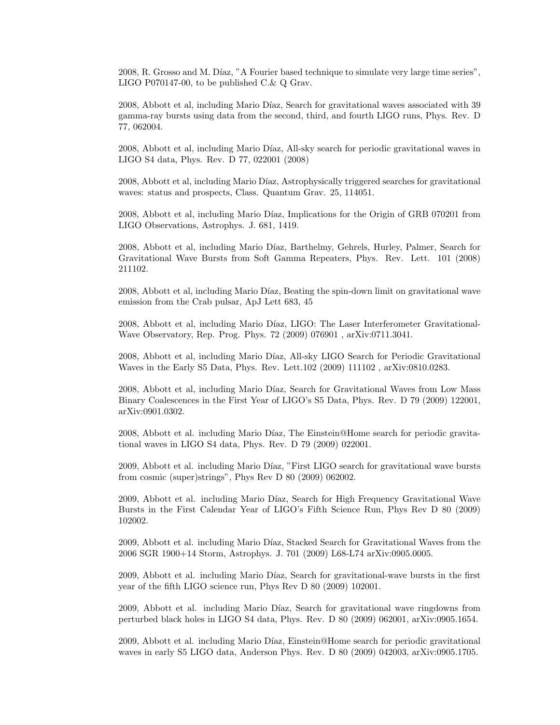2008, R. Grosso and M. Díaz, "A Fourier based technique to simulate very large time series", LIGO P070147-00, to be published C.& Q Grav.

2008, Abbott et al, including Mario Díaz, Search for gravitational waves associated with 39 gamma-ray bursts using data from the second, third, and fourth LIGO runs, Phys. Rev. D 77, 062004.

2008, Abbott et al, including Mario Díaz, All-sky search for periodic gravitational waves in LIGO S4 data, Phys. Rev. D 77, 022001 (2008)

2008, Abbott et al, including Mario Díaz, Astrophysically triggered searches for gravitational waves: status and prospects, Class. Quantum Grav. 25, 114051.

2008, Abbott et al, including Mario Díaz, Implications for the Origin of GRB 070201 from LIGO Observations, Astrophys. J. 681, 1419.

2008, Abbott et al, including Mario D´ıaz, Barthelmy, Gehrels, Hurley, Palmer, Search for Gravitational Wave Bursts from Soft Gamma Repeaters, Phys. Rev. Lett. 101 (2008) 211102.

2008, Abbott et al, including Mario Díaz, Beating the spin-down limit on gravitational wave emission from the Crab pulsar, ApJ Lett 683, 45

2008, Abbott et al, including Mario Díaz, LIGO: The Laser Interferometer Gravitational-Wave Observatory, Rep. Prog. Phys. 72 (2009) 076901 , arXiv:0711.3041.

2008, Abbott et al, including Mario Díaz, All-sky LIGO Search for Periodic Gravitational Waves in the Early S5 Data, Phys. Rev. Lett.102 (2009) 111102 , arXiv:0810.0283.

2008, Abbott et al, including Mario Díaz, Search for Gravitational Waves from Low Mass Binary Coalescences in the First Year of LIGO's S5 Data, Phys. Rev. D 79 (2009) 122001, arXiv:0901.0302.

2008, Abbott et al. including Mario Díaz, The Einstein@Home search for periodic gravitational waves in LIGO S4 data, Phys. Rev. D 79 (2009) 022001.

2009, Abbott et al. including Mario Díaz, "First LIGO search for gravitational wave bursts from cosmic (super)strings", Phys Rev D 80 (2009) 062002.

2009, Abbott et al. including Mario Díaz, Search for High Frequency Gravitational Wave Bursts in the First Calendar Year of LIGO's Fifth Science Run, Phys Rev D 80 (2009) 102002.

2009, Abbott et al. including Mario Díaz, Stacked Search for Gravitational Waves from the 2006 SGR 1900+14 Storm, Astrophys. J. 701 (2009) L68-L74 arXiv:0905.0005.

2009, Abbott et al. including Mario Díaz, Search for gravitational-wave bursts in the first year of the fifth LIGO science run, Phys Rev D 80 (2009) 102001.

2009, Abbott et al. including Mario Díaz, Search for gravitational wave ringdowns from perturbed black holes in LIGO S4 data, Phys. Rev. D 80 (2009) 062001, arXiv:0905.1654.

2009, Abbott et al. including Mario D´ıaz, Einstein@Home search for periodic gravitational waves in early S5 LIGO data, Anderson Phys. Rev. D 80 (2009) 042003, arXiv:0905.1705.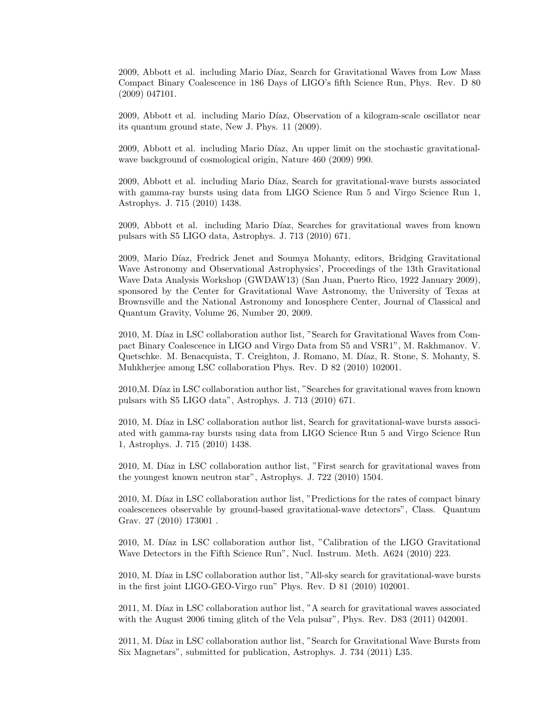2009, Abbott et al. including Mario Díaz, Search for Gravitational Waves from Low Mass Compact Binary Coalescence in 186 Days of LIGO's fifth Science Run, Phys. Rev. D 80 (2009) 047101.

2009, Abbott et al. including Mario Díaz, Observation of a kilogram-scale oscillator near its quantum ground state, New J. Phys. 11 (2009).

2009, Abbott et al. including Mario Díaz, An upper limit on the stochastic gravitationalwave background of cosmological origin, Nature 460 (2009) 990.

2009, Abbott et al. including Mario D´ıaz, Search for gravitational-wave bursts associated with gamma-ray bursts using data from LIGO Science Run 5 and Virgo Science Run 1, Astrophys. J. 715 (2010) 1438.

2009, Abbott et al. including Mario Díaz, Searches for gravitational waves from known pulsars with S5 LIGO data, Astrophys. J. 713 (2010) 671.

2009, Mario D´ıaz, Fredrick Jenet and Soumya Mohanty, editors, Bridging Gravitational Wave Astronomy and Observational Astrophysics', Proceedings of the 13th Gravitational Wave Data Analysis Workshop (GWDAW13) (San Juan, Puerto Rico, 1922 January 2009), sponsored by the Center for Gravitational Wave Astronomy, the University of Texas at Brownsville and the National Astronomy and Ionosphere Center, Journal of Classical and Quantum Gravity, Volume 26, Number 20, 2009.

2010, M. Díaz in LSC collaboration author list, "Search for Gravitational Waves from Compact Binary Coalescence in LIGO and Virgo Data from S5 and VSR1", M. Rakhmanov. V. Quetschke. M. Benacquista, T. Creighton, J. Romano, M. Díaz, R. Stone, S. Mohanty, S. Muhkherjee among LSC collaboration Phys. Rev. D 82 (2010) 102001.

2010, M. Díaz in LSC collaboration author list, "Searches for gravitational waves from known pulsars with S5 LIGO data", Astrophys. J. 713 (2010) 671.

2010, M. Díaz in LSC collaboration author list, Search for gravitational-wave bursts associated with gamma-ray bursts using data from LIGO Science Run 5 and Virgo Science Run 1, Astrophys. J. 715 (2010) 1438.

2010, M. Díaz in LSC collaboration author list, "First search for gravitational waves from the youngest known neutron star", Astrophys. J. 722 (2010) 1504.

2010, M. Díaz in LSC collaboration author list, "Predictions for the rates of compact binary coalescences observable by ground-based gravitational-wave detectors", Class. Quantum Grav. 27 (2010) 173001 .

2010, M. Díaz in LSC collaboration author list, "Calibration of the LIGO Gravitational Wave Detectors in the Fifth Science Run", Nucl. Instrum. Meth. A624 (2010) 223.

2010, M. Díaz in LSC collaboration author list, "All-sky search for gravitational-wave bursts in the first joint LIGO-GEO-Virgo run" Phys. Rev. D 81 (2010) 102001.

2011, M. Díaz in LSC collaboration author list, "A search for gravitational waves associated with the August 2006 timing glitch of the Vela pulsar", Phys. Rev. D83 (2011) 042001.

2011, M. Díaz in LSC collaboration author list, "Search for Gravitational Wave Bursts from Six Magnetars", submitted for publication, Astrophys. J. 734 (2011) L35.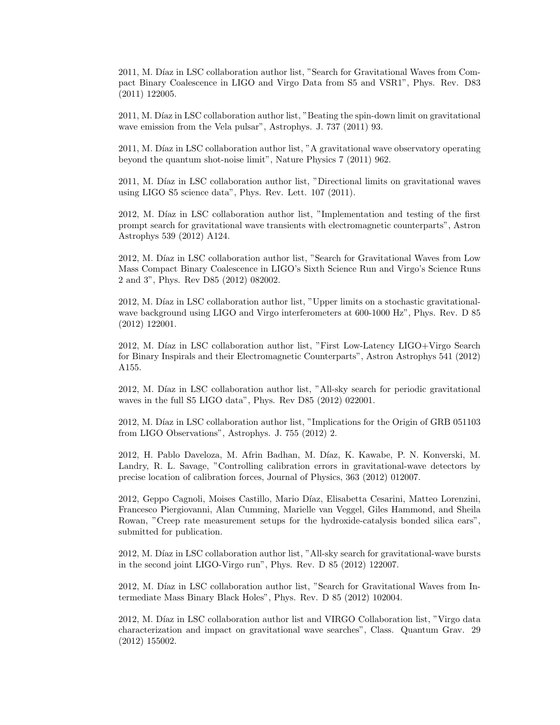2011, M. Díaz in LSC collaboration author list, "Search for Gravitational Waves from Compact Binary Coalescence in LIGO and Virgo Data from S5 and VSR1", Phys. Rev. D83 (2011) 122005.

2011, M. Díaz in LSC collaboration author list, "Beating the spin-down limit on gravitational wave emission from the Vela pulsar", Astrophys. J. 737 (2011) 93.

2011, M. Díaz in LSC collaboration author list, "A gravitational wave observatory operating beyond the quantum shot-noise limit", Nature Physics 7 (2011) 962.

2011, M. Díaz in LSC collaboration author list, "Directional limits on gravitational waves using LIGO S5 science data", Phys. Rev. Lett. 107 (2011).

2012, M. Díaz in LSC collaboration author list, "Implementation and testing of the first prompt search for gravitational wave transients with electromagnetic counterparts", Astron Astrophys 539 (2012) A124.

2012, M. Díaz in LSC collaboration author list, "Search for Gravitational Waves from Low Mass Compact Binary Coalescence in LIGO's Sixth Science Run and Virgo's Science Runs 2 and 3", Phys. Rev D85 (2012) 082002.

2012, M. Díaz in LSC collaboration author list, "Upper limits on a stochastic gravitationalwave background using LIGO and Virgo interferometers at 600-1000 Hz", Phys. Rev. D 85 (2012) 122001.

2012, M. Díaz in LSC collaboration author list, "First Low-Latency LIGO+Virgo Search" for Binary Inspirals and their Electromagnetic Counterparts", Astron Astrophys 541 (2012) A155.

2012, M. Díaz in LSC collaboration author list, "All-sky search for periodic gravitational waves in the full S5 LIGO data", Phys. Rev D85 (2012) 022001.

2012, M. Díaz in LSC collaboration author list, "Implications for the Origin of GRB 051103 from LIGO Observations", Astrophys. J. 755 (2012) 2.

2012, H. Pablo Daveloza, M. Afrin Badhan, M. Díaz, K. Kawabe, P. N. Konverski, M. Landry, R. L. Savage, "Controlling calibration errors in gravitational-wave detectors by precise location of calibration forces, Journal of Physics, 363 (2012) 012007.

2012, Geppo Cagnoli, Moises Castillo, Mario D´ıaz, Elisabetta Cesarini, Matteo Lorenzini, Francesco Piergiovanni, Alan Cumming, Marielle van Veggel, Giles Hammond, and Sheila Rowan, "Creep rate measurement setups for the hydroxide-catalysis bonded silica ears", submitted for publication.

2012, M. Díaz in LSC collaboration author list, "All-sky search for gravitational-wave bursts in the second joint LIGO-Virgo run", Phys. Rev. D 85 (2012) 122007.

2012, M. Díaz in LSC collaboration author list, "Search for Gravitational Waves from Intermediate Mass Binary Black Holes", Phys. Rev. D 85 (2012) 102004.

2012, M. Díaz in LSC collaboration author list and VIRGO Collaboration list, "Virgo data characterization and impact on gravitational wave searches", Class. Quantum Grav. 29 (2012) 155002.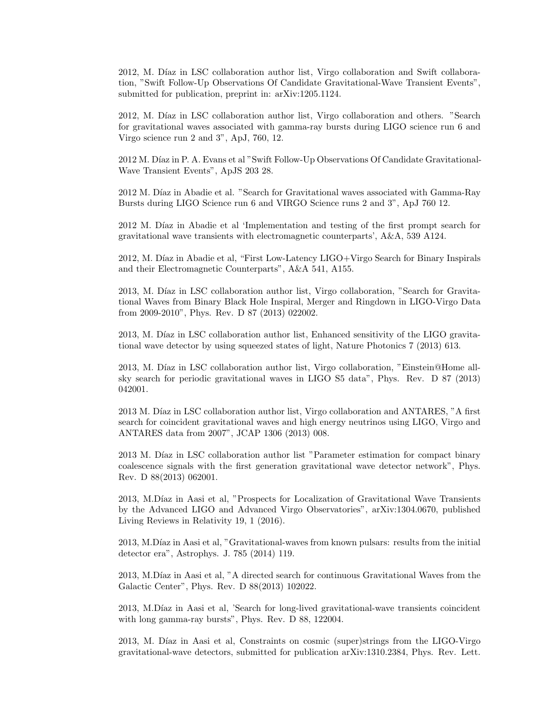2012, M. Díaz in LSC collaboration author list, Virgo collaboration and Swift collaboration, "Swift Follow-Up Observations Of Candidate Gravitational-Wave Transient Events", submitted for publication, preprint in: arXiv:1205.1124.

2012, M. Díaz in LSC collaboration author list, Virgo collaboration and others. "Search for gravitational waves associated with gamma-ray bursts during LIGO science run 6 and Virgo science run 2 and 3", ApJ, 760, 12.

2012 M. Díaz in P. A. Evans et al "Swift Follow-Up Observations Of Candidate Gravitational-Wave Transient Events", ApJS 203 28.

2012 M. Díaz in Abadie et al. "Search for Gravitational waves associated with Gamma-Ray Bursts during LIGO Science run 6 and VIRGO Science runs 2 and 3", ApJ 760 12.

2012 M. Díaz in Abadie et al 'Implementation and testing of the first prompt search for gravitational wave transients with electromagnetic counterparts', A&A, 539 A124.

2012, M. Díaz in Abadie et al, "First Low-Latency LIGO+Virgo Search for Binary Inspirals and their Electromagnetic Counterparts", A&A 541, A155.

2013, M. Díaz in LSC collaboration author list, Virgo collaboration, "Search for Gravitational Waves from Binary Black Hole Inspiral, Merger and Ringdown in LIGO-Virgo Data from 2009-2010", Phys. Rev. D 87 (2013) 022002.

2013, M. Díaz in LSC collaboration author list, Enhanced sensitivity of the LIGO gravitational wave detector by using squeezed states of light, Nature Photonics 7 (2013) 613.

2013, M. Díaz in LSC collaboration author list, Virgo collaboration, "Einstein@Home allsky search for periodic gravitational waves in LIGO S5 data", Phys. Rev. D 87 (2013) 042001.

2013 M. Díaz in LSC collaboration author list, Virgo collaboration and ANTARES, "A first search for coincident gravitational waves and high energy neutrinos using LIGO, Virgo and ANTARES data from 2007", JCAP 1306 (2013) 008.

2013 M. Díaz in LSC collaboration author list "Parameter estimation for compact binary coalescence signals with the first generation gravitational wave detector network", Phys. Rev. D 88(2013) 062001.

2013, M.Díaz in Aasi et al, "Prospects for Localization of Gravitational Wave Transients by the Advanced LIGO and Advanced Virgo Observatories", arXiv:1304.0670, published Living Reviews in Relativity 19, 1 (2016).

2013, M.Díaz in Aasi et al, "Gravitational-waves from known pulsars: results from the initial detector era", Astrophys. J. 785 (2014) 119.

2013, M.Díaz in Aasi et al, "A directed search for continuous Gravitational Waves from the Galactic Center", Phys. Rev. D 88(2013) 102022.

2013, M.Díaz in Aasi et al, 'Search for long-lived gravitational-wave transients coincident with long gamma-ray bursts", Phys. Rev. D 88, 122004.

2013, M. Díaz in Aasi et al, Constraints on cosmic (super)strings from the LIGO-Virgo gravitational-wave detectors, submitted for publication arXiv:1310.2384, Phys. Rev. Lett.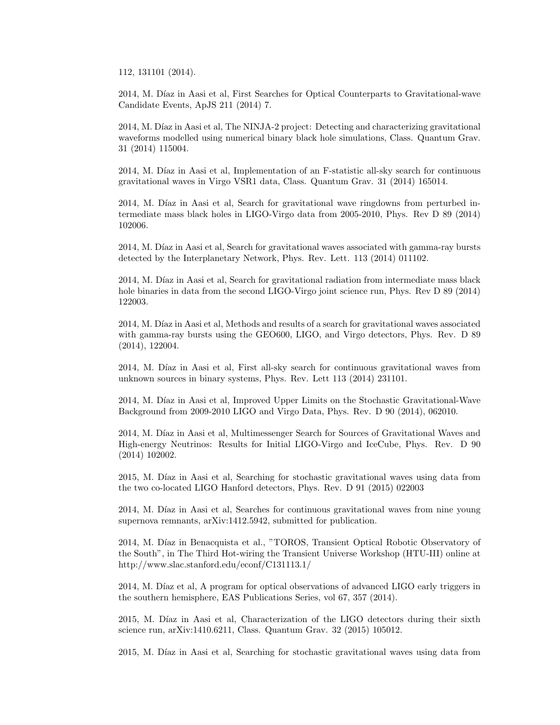112, 131101 (2014).

2014, M. Díaz in Aasi et al, First Searches for Optical Counterparts to Gravitational-wave Candidate Events, ApJS 211 (2014) 7.

2014, M. Díaz in Aasi et al, The NINJA-2 project: Detecting and characterizing gravitational waveforms modelled using numerical binary black hole simulations, Class. Quantum Grav. 31 (2014) 115004.

2014, M. Díaz in Aasi et al, Implementation of an F-statistic all-sky search for continuous gravitational waves in Virgo VSR1 data, Class. Quantum Grav. 31 (2014) 165014.

2014, M. Díaz in Aasi et al, Search for gravitational wave ringdowns from perturbed intermediate mass black holes in LIGO-Virgo data from 2005-2010, Phys. Rev D 89 (2014) 102006.

2014, M. Díaz in Aasi et al, Search for gravitational waves associated with gamma-ray bursts detected by the Interplanetary Network, Phys. Rev. Lett. 113 (2014) 011102.

2014, M. Díaz in Aasi et al, Search for gravitational radiation from intermediate mass black hole binaries in data from the second LIGO-Virgo joint science run, Phys. Rev D 89 (2014) 122003.

2014, M. Díaz in Aasi et al, Methods and results of a search for gravitational waves associated with gamma-ray bursts using the GEO600, LIGO, and Virgo detectors, Phys. Rev. D 89 (2014), 122004.

2014, M. Díaz in Aasi et al, First all-sky search for continuous gravitational waves from unknown sources in binary systems, Phys. Rev. Lett 113 (2014) 231101.

2014, M. Díaz in Aasi et al, Improved Upper Limits on the Stochastic Gravitational-Wave Background from 2009-2010 LIGO and Virgo Data, Phys. Rev. D 90 (2014), 062010.

2014, M. Díaz in Aasi et al, Multimessenger Search for Sources of Gravitational Waves and High-energy Neutrinos: Results for Initial LIGO-Virgo and IceCube, Phys. Rev. D 90 (2014) 102002.

2015, M. Díaz in Aasi et al, Searching for stochastic gravitational waves using data from the two co-located LIGO Hanford detectors, Phys. Rev. D 91 (2015) 022003

2014, M. Díaz in Aasi et al, Searches for continuous gravitational waves from nine young supernova remnants, arXiv:1412.5942, submitted for publication.

2014, M. Díaz in Benacquista et al., "TOROS, Transient Optical Robotic Observatory of the South", in The Third Hot-wiring the Transient Universe Workshop (HTU-III) online at http://www.slac.stanford.edu/econf/C131113.1/

2014, M. Díaz et al, A program for optical observations of advanced LIGO early triggers in the southern hemisphere, EAS Publications Series, vol 67, 357 (2014).

2015, M. Díaz in Aasi et al, Characterization of the LIGO detectors during their sixth science run, arXiv:1410.6211, Class. Quantum Grav. 32 (2015) 105012.

2015, M. Díaz in Aasi et al, Searching for stochastic gravitational waves using data from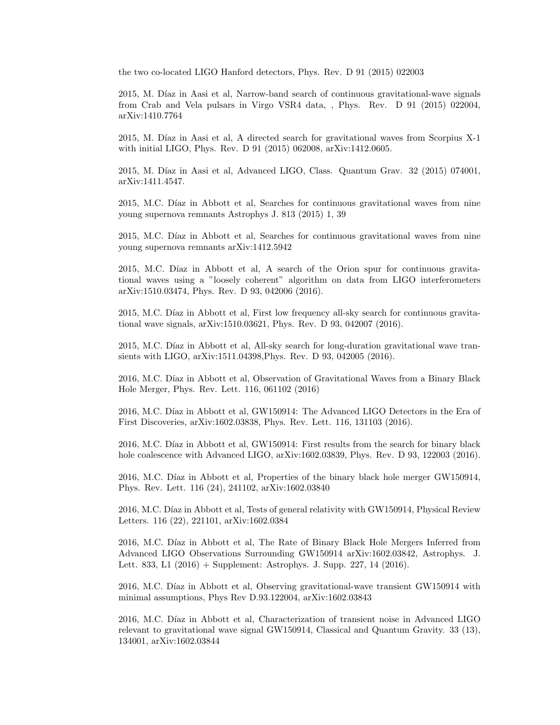the two co-located LIGO Hanford detectors, Phys. Rev. D 91 (2015) 022003

2015, M. Díaz in Aasi et al, Narrow-band search of continuous gravitational-wave signals from Crab and Vela pulsars in Virgo VSR4 data, , Phys. Rev. D 91 (2015) 022004, arXiv:1410.7764

2015, M. Díaz in Aasi et al, A directed search for gravitational waves from Scorpius X-1 with initial LIGO, Phys. Rev. D 91 (2015) 062008, arXiv:1412.0605.

2015, M. Díaz in Aasi et al, Advanced LIGO, Class. Quantum Grav. 32 (2015) 074001, arXiv:1411.4547.

2015, M.C. Díaz in Abbott et al, Searches for continuous gravitational waves from nine young supernova remnants Astrophys J. 813 (2015) 1, 39

2015, M.C. Díaz in Abbott et al, Searches for continuous gravitational waves from nine young supernova remnants arXiv:1412.5942

2015, M.C. Díaz in Abbott et al, A search of the Orion spur for continuous gravitational waves using a "loosely coherent" algorithm on data from LIGO interferometers arXiv:1510.03474, Phys. Rev. D 93, 042006 (2016).

2015, M.C. Díaz in Abbott et al, First low frequency all-sky search for continuous gravitational wave signals, arXiv:1510.03621, Phys. Rev. D 93, 042007 (2016).

2015, M.C. Díaz in Abbott et al, All-sky search for long-duration gravitational wave transients with LIGO, arXiv:1511.04398,Phys. Rev. D 93, 042005 (2016).

2016, M.C. Díaz in Abbott et al, Observation of Gravitational Waves from a Binary Black Hole Merger, Phys. Rev. Lett. 116, 061102 (2016)

2016, M.C. Díaz in Abbott et al, GW150914: The Advanced LIGO Detectors in the Era of First Discoveries, arXiv:1602.03838, Phys. Rev. Lett. 116, 131103 (2016).

2016, M.C. Díaz in Abbott et al, GW150914: First results from the search for binary black hole coalescence with Advanced LIGO, arXiv:1602.03839, Phys. Rev. D 93, 122003 (2016).

2016, M.C. Díaz in Abbott et al, Properties of the binary black hole merger GW150914, Phys. Rev. Lett. 116 (24), 241102, arXiv:1602.03840

2016, M.C. Díaz in Abbott et al, Tests of general relativity with GW150914, Physical Review Letters. 116 (22), 221101, arXiv:1602.0384

2016, M.C. Díaz in Abbott et al, The Rate of Binary Black Hole Mergers Inferred from Advanced LIGO Observations Surrounding GW150914 arXiv:1602.03842, Astrophys. J. Lett. 833, L1 (2016) + Supplement: Astrophys. J. Supp. 227, 14 (2016).

2016, M.C. Díaz in Abbott et al, Observing gravitational-wave transient GW150914 with minimal assumptions, Phys Rev D.93.122004, arXiv:1602.03843

2016, M.C. Díaz in Abbott et al, Characterization of transient noise in Advanced LIGO relevant to gravitational wave signal GW150914, Classical and Quantum Gravity. 33 (13), 134001, arXiv:1602.03844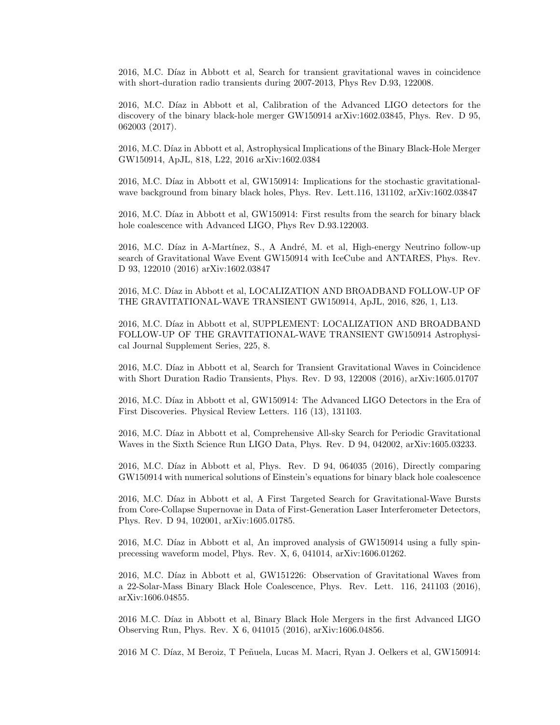2016, M.C. Díaz in Abbott et al, Search for transient gravitational waves in coincidence with short-duration radio transients during 2007-2013, Phys Rev D.93, 122008.

2016, M.C. Díaz in Abbott et al, Calibration of the Advanced LIGO detectors for the discovery of the binary black-hole merger GW150914 arXiv:1602.03845, Phys. Rev. D 95, 062003 (2017).

2016, M.C. Díaz in Abbott et al, Astrophysical Implications of the Binary Black-Hole Merger GW150914, ApJL, 818, L22, 2016 arXiv:1602.0384

2016, M.C. Díaz in Abbott et al, GW150914: Implications for the stochastic gravitationalwave background from binary black holes, Phys. Rev. Lett.116, 131102, arXiv:1602.03847

2016, M.C. Díaz in Abbott et al, GW150914: First results from the search for binary black hole coalescence with Advanced LIGO, Phys Rev D.93.122003.

2016, M.C. Díaz in A-Martínez, S., A André, M. et al, High-energy Neutrino follow-up search of Gravitational Wave Event GW150914 with IceCube and ANTARES, Phys. Rev. D 93, 122010 (2016) arXiv:1602.03847

2016, M.C. Díaz in Abbott et al, LOCALIZATION AND BROADBAND FOLLOW-UP OF THE GRAVITATIONAL-WAVE TRANSIENT GW150914, ApJL, 2016, 826, 1, L13.

2016, M.C. Díaz in Abbott et al, SUPPLEMENT: LOCALIZATION AND BROADBAND FOLLOW-UP OF THE GRAVITATIONAL-WAVE TRANSIENT GW150914 Astrophysical Journal Supplement Series, 225, 8.

2016, M.C. Díaz in Abbott et al, Search for Transient Gravitational Waves in Coincidence with Short Duration Radio Transients, Phys. Rev. D 93, 122008 (2016), arXiv:1605.01707

2016, M.C. Díaz in Abbott et al, GW150914: The Advanced LIGO Detectors in the Era of First Discoveries. Physical Review Letters. 116 (13), 131103.

2016, M.C. Díaz in Abbott et al, Comprehensive All-sky Search for Periodic Gravitational Waves in the Sixth Science Run LIGO Data, Phys. Rev. D 94, 042002, arXiv:1605.03233.

2016, M.C. Díaz in Abbott et al, Phys. Rev. D  $94, 064035$  (2016), Directly comparing GW150914 with numerical solutions of Einstein's equations for binary black hole coalescence

2016, M.C. Díaz in Abbott et al, A First Targeted Search for Gravitational-Wave Bursts from Core-Collapse Supernovae in Data of First-Generation Laser Interferometer Detectors, Phys. Rev. D 94, 102001, arXiv:1605.01785.

2016, M.C. Díaz in Abbott et al, An improved analysis of GW150914 using a fully spinprecessing waveform model, Phys. Rev. X, 6, 041014, arXiv:1606.01262.

2016, M.C. Díaz in Abbott et al, GW151226: Observation of Gravitational Waves from a 22-Solar-Mass Binary Black Hole Coalescence, Phys. Rev. Lett. 116, 241103 (2016), arXiv:1606.04855.

2016 M.C. Díaz in Abbott et al, Binary Black Hole Mergers in the first Advanced LIGO Observing Run, Phys. Rev. X 6, 041015 (2016), arXiv:1606.04856.

2016 M C. Díaz, M Beroiz, T Peñuela, Lucas M. Macri, Ryan J. Oelkers et al, GW150914: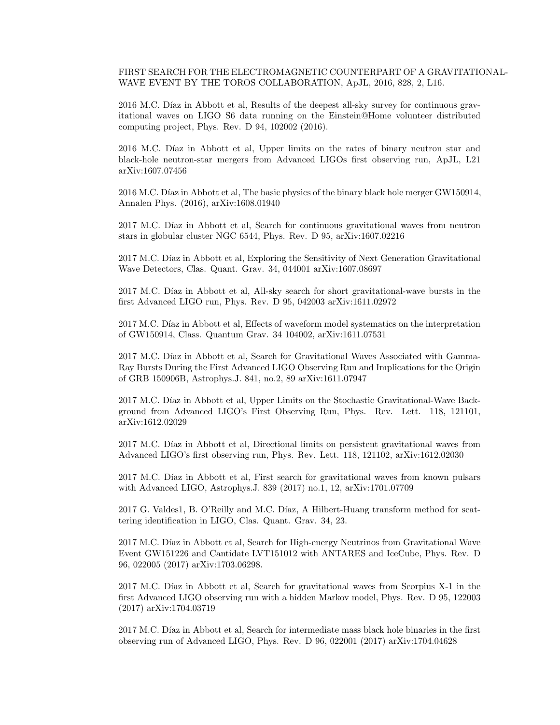FIRST SEARCH FOR THE ELECTROMAGNETIC COUNTERPART OF A GRAVITATIONAL-WAVE EVENT BY THE TOROS COLLABORATION, ApJL, 2016, 828, 2, L16.

2016 M.C. Díaz in Abbott et al, Results of the deepest all-sky survey for continuous gravitational waves on LIGO S6 data running on the Einstein@Home volunteer distributed computing project, Phys. Rev. D 94, 102002 (2016).

2016 M.C. Díaz in Abbott et al, Upper limits on the rates of binary neutron star and black-hole neutron-star mergers from Advanced LIGOs first observing run, ApJL, L21 arXiv:1607.07456

2016 M.C. Díaz in Abbott et al, The basic physics of the binary black hole merger GW150914, Annalen Phys. (2016), arXiv:1608.01940

2017 M.C. Díaz in Abbott et al, Search for continuous gravitational waves from neutron stars in globular cluster NGC 6544, Phys. Rev. D 95, arXiv:1607.02216

2017 M.C. Díaz in Abbott et al, Exploring the Sensitivity of Next Generation Gravitational Wave Detectors, Clas. Quant. Grav. 34, 044001 arXiv:1607.08697

2017 M.C. Díaz in Abbott et al, All-sky search for short gravitational-wave bursts in the first Advanced LIGO run, Phys. Rev. D 95, 042003 arXiv:1611.02972

2017 M.C. Díaz in Abbott et al, Effects of waveform model systematics on the interpretation of GW150914, Class. Quantum Grav. 34 104002, arXiv:1611.07531

2017 M.C. Díaz in Abbott et al, Search for Gravitational Waves Associated with Gamma-Ray Bursts During the First Advanced LIGO Observing Run and Implications for the Origin of GRB 150906B, Astrophys.J. 841, no.2, 89 arXiv:1611.07947

2017 M.C. Díaz in Abbott et al, Upper Limits on the Stochastic Gravitational-Wave Background from Advanced LIGO's First Observing Run, Phys. Rev. Lett. 118, 121101, arXiv:1612.02029

2017 M.C. Díaz in Abbott et al, Directional limits on persistent gravitational waves from Advanced LIGO's first observing run, Phys. Rev. Lett. 118, 121102, arXiv:1612.02030

2017 M.C. Díaz in Abbott et al, First search for gravitational waves from known pulsars with Advanced LIGO, Astrophys.J. 839 (2017) no.1, 12, arXiv:1701.07709

2017 G. Valdes1, B. O'Reilly and M.C. Díaz, A Hilbert-Huang transform method for scattering identification in LIGO, Clas. Quant. Grav. 34, 23.

2017 M.C. Díaz in Abbott et al, Search for High-energy Neutrinos from Gravitational Wave Event GW151226 and Cantidate LVT151012 with ANTARES and IceCube, Phys. Rev. D 96, 022005 (2017) arXiv:1703.06298.

2017 M.C. Díaz in Abbott et al, Search for gravitational waves from Scorpius X-1 in the first Advanced LIGO observing run with a hidden Markov model, Phys. Rev. D 95, 122003 (2017) arXiv:1704.03719

2017 M.C. Díaz in Abbott et al, Search for intermediate mass black hole binaries in the first observing run of Advanced LIGO, Phys. Rev. D 96, 022001 (2017) arXiv:1704.04628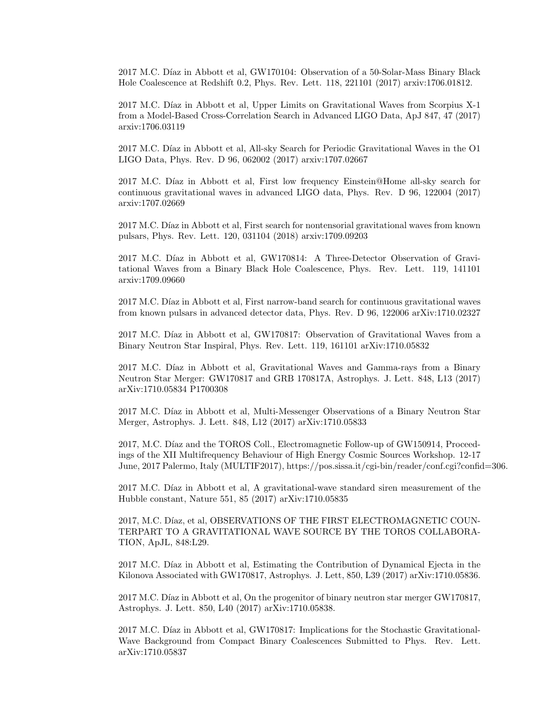2017 M.C. Díaz in Abbott et al, GW170104: Observation of a 50-Solar-Mass Binary Black Hole Coalescence at Redshift 0.2, Phys. Rev. Lett. 118, 221101 (2017) arxiv:1706.01812.

2017 M.C. Díaz in Abbott et al, Upper Limits on Gravitational Waves from Scorpius X-1 from a Model-Based Cross-Correlation Search in Advanced LIGO Data, ApJ 847, 47 (2017) arxiv:1706.03119

2017 M.C. Díaz in Abbott et al, All-sky Search for Periodic Gravitational Waves in the O1 LIGO Data, Phys. Rev. D 96, 062002 (2017) arxiv:1707.02667

2017 M.C. Díaz in Abbott et al, First low frequency Einstein@Home all-sky search for continuous gravitational waves in advanced LIGO data, Phys. Rev. D 96, 122004 (2017) arxiv:1707.02669

2017 M.C. Díaz in Abbott et al, First search for nontensorial gravitational waves from known pulsars, Phys. Rev. Lett. 120, 031104 (2018) arxiv:1709.09203

2017 M.C. Díaz in Abbott et al, GW170814: A Three-Detector Observation of Gravitational Waves from a Binary Black Hole Coalescence, Phys. Rev. Lett. 119, 141101 arxiv:1709.09660

2017 M.C. Díaz in Abbott et al, First narrow-band search for continuous gravitational waves from known pulsars in advanced detector data, Phys. Rev. D 96, 122006 arXiv:1710.02327

2017 M.C. Díaz in Abbott et al, GW170817: Observation of Gravitational Waves from a Binary Neutron Star Inspiral, Phys. Rev. Lett. 119, 161101 arXiv:1710.05832

2017 M.C. Díaz in Abbott et al, Gravitational Waves and Gamma-rays from a Binary Neutron Star Merger: GW170817 and GRB 170817A, Astrophys. J. Lett. 848, L13 (2017) arXiv:1710.05834 P1700308

2017 M.C. Díaz in Abbott et al, Multi-Messenger Observations of a Binary Neutron Star Merger, Astrophys. J. Lett. 848, L12 (2017) arXiv:1710.05833

2017, M.C. Díaz and the TOROS Coll., Electromagnetic Follow-up of GW150914, Proceedings of the XII Multifrequency Behaviour of High Energy Cosmic Sources Workshop. 12-17 June, 2017 Palermo, Italy (MULTIF2017), https://pos.sissa.it/cgi-bin/reader/conf.cgi?confid=306.

2017 M.C. Díaz in Abbott et al, A gravitational-wave standard siren measurement of the Hubble constant, Nature 551, 85 (2017) arXiv:1710.05835

2017, M.C. Díaz, et al, OBSERVATIONS OF THE FIRST ELECTROMAGNETIC COUN-TERPART TO A GRAVITATIONAL WAVE SOURCE BY THE TOROS COLLABORA-TION, ApJL, 848:L29.

2017 M.C. Díaz in Abbott et al, Estimating the Contribution of Dynamical Ejecta in the Kilonova Associated with GW170817, Astrophys. J. Lett, 850, L39 (2017) arXiv:1710.05836.

2017 M.C. Díaz in Abbott et al, On the progenitor of binary neutron star merger GW170817, Astrophys. J. Lett. 850, L40 (2017) arXiv:1710.05838.

2017 M.C. Díaz in Abbott et al, GW170817: Implications for the Stochastic Gravitational-Wave Background from Compact Binary Coalescences Submitted to Phys. Rev. Lett. arXiv:1710.05837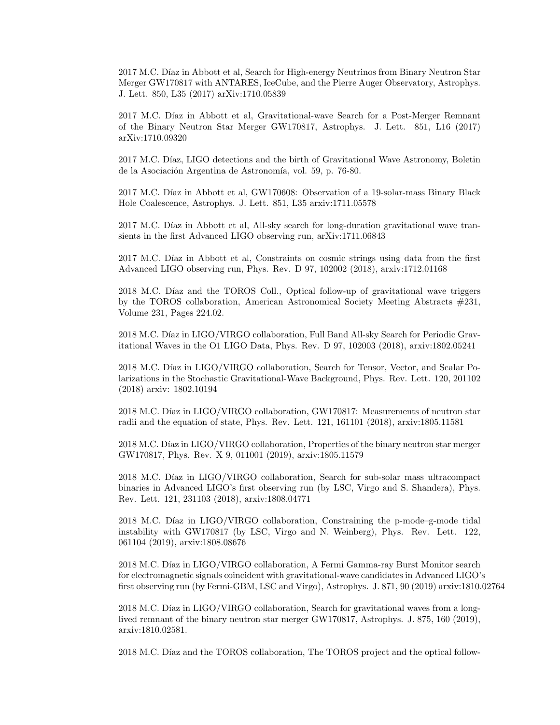2017 M.C. Díaz in Abbott et al, Search for High-energy Neutrinos from Binary Neutron Star Merger GW170817 with ANTARES, IceCube, and the Pierre Auger Observatory, Astrophys. J. Lett. 850, L35 (2017) arXiv:1710.05839

2017 M.C. Díaz in Abbott et al, Gravitational-wave Search for a Post-Merger Remnant of the Binary Neutron Star Merger GW170817, Astrophys. J. Lett. 851, L16 (2017) arXiv:1710.09320

2017 M.C. Díaz, LIGO detections and the birth of Gravitational Wave Astronomy, Boletin de la Asociación Argentina de Astronomía, vol. 59, p. 76-80.

2017 M.C. Díaz in Abbott et al, GW170608: Observation of a 19-solar-mass Binary Black Hole Coalescence, Astrophys. J. Lett. 851, L35 arxiv:1711.05578

2017 M.C. Díaz in Abbott et al, All-sky search for long-duration gravitational wave transients in the first Advanced LIGO observing run, arXiv:1711.06843

2017 M.C. Díaz in Abbott et al, Constraints on cosmic strings using data from the first Advanced LIGO observing run, Phys. Rev. D 97, 102002 (2018), arxiv:1712.01168

2018 M.C. Díaz and the TOROS Coll., Optical follow-up of gravitational wave triggers by the TOROS collaboration, American Astronomical Society Meeting Abstracts #231, Volume 231, Pages 224.02.

2018 M.C. Díaz in LIGO/VIRGO collaboration, Full Band All-sky Search for Periodic Gravitational Waves in the O1 LIGO Data, Phys. Rev. D 97, 102003 (2018), arxiv:1802.05241

2018 M.C. Díaz in LIGO/VIRGO collaboration, Search for Tensor, Vector, and Scalar Polarizations in the Stochastic Gravitational-Wave Background, Phys. Rev. Lett. 120, 201102 (2018) arxiv: 1802.10194

2018 M.C. Díaz in LIGO/VIRGO collaboration, GW170817: Measurements of neutron star radii and the equation of state, Phys. Rev. Lett. 121, 161101 (2018), arxiv:1805.11581

2018 M.C. Díaz in LIGO/VIRGO collaboration, Properties of the binary neutron star merger GW170817, Phys. Rev. X 9, 011001 (2019), arxiv:1805.11579

2018 M.C. Díaz in LIGO/VIRGO collaboration, Search for sub-solar mass ultracompact binaries in Advanced LIGO's first observing run (by LSC, Virgo and S. Shandera), Phys. Rev. Lett. 121, 231103 (2018), arxiv:1808.04771

 $2018$  M.C. Díaz in LIGO/VIRGO collaboration, Constraining the p-mode–g-mode tidal instability with GW170817 (by LSC, Virgo and N. Weinberg), Phys. Rev. Lett. 122, 061104 (2019), arxiv:1808.08676

2018 M.C. Díaz in LIGO/VIRGO collaboration, A Fermi Gamma-ray Burst Monitor search for electromagnetic signals coincident with gravitational-wave candidates in Advanced LIGO's first observing run (by Fermi-GBM, LSC and Virgo), Astrophys. J. 871, 90 (2019) arxiv:1810.02764

2018 M.C. Díaz in LIGO/VIRGO collaboration, Search for gravitational waves from a longlived remnant of the binary neutron star merger GW170817, Astrophys. J. 875, 160 (2019), arxiv:1810.02581.

2018 M.C. Díaz and the TOROS collaboration, The TOROS project and the optical follow-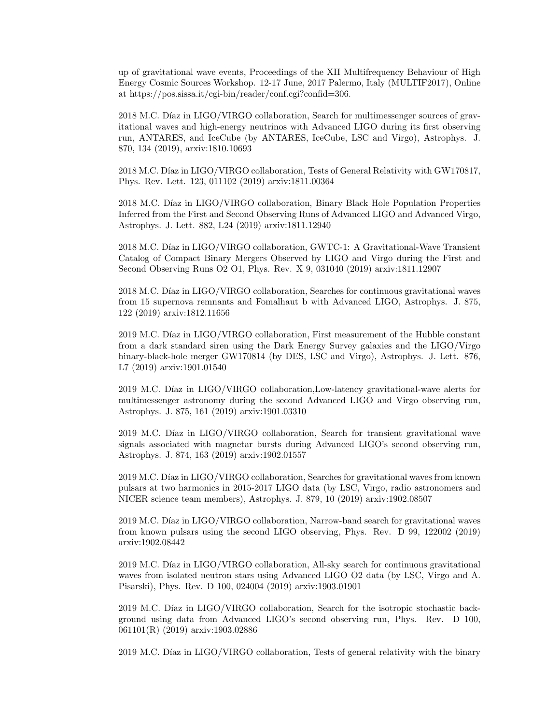up of gravitational wave events, Proceedings of the XII Multifrequency Behaviour of High Energy Cosmic Sources Workshop. 12-17 June, 2017 Palermo, Italy (MULTIF2017), Online at https://pos.sissa.it/cgi-bin/reader/conf.cgi?confid=306.

2018 M.C. Díaz in LIGO/VIRGO collaboration, Search for multimessenger sources of gravitational waves and high-energy neutrinos with Advanced LIGO during its first observing run, ANTARES, and IceCube (by ANTARES, IceCube, LSC and Virgo), Astrophys. J. 870, 134 (2019), arxiv:1810.10693

2018 M.C. Díaz in LIGO/VIRGO collaboration, Tests of General Relativity with GW170817, Phys. Rev. Lett. 123, 011102 (2019) arxiv:1811.00364

2018 M.C. Díaz in LIGO/VIRGO collaboration, Binary Black Hole Population Properties Inferred from the First and Second Observing Runs of Advanced LIGO and Advanced Virgo, Astrophys. J. Lett. 882, L24 (2019) arxiv:1811.12940

2018 M.C. Díaz in LIGO/VIRGO collaboration, GWTC-1: A Gravitational-Wave Transient Catalog of Compact Binary Mergers Observed by LIGO and Virgo during the First and Second Observing Runs O2 O1, Phys. Rev. X 9, 031040 (2019) arxiv:1811.12907

2018 M.C. Díaz in LIGO/VIRGO collaboration, Searches for continuous gravitational waves from 15 supernova remnants and Fomalhaut b with Advanced LIGO, Astrophys. J. 875, 122 (2019) arxiv:1812.11656

2019 M.C. Díaz in LIGO/VIRGO collaboration, First measurement of the Hubble constant from a dark standard siren using the Dark Energy Survey galaxies and the LIGO/Virgo binary-black-hole merger GW170814 (by DES, LSC and Virgo), Astrophys. J. Lett. 876, L7 (2019) arxiv:1901.01540

2019 M.C. Díaz in LIGO/VIRGO collaboration, Low-latency gravitational-wave alerts for multimessenger astronomy during the second Advanced LIGO and Virgo observing run, Astrophys. J. 875, 161 (2019) arxiv:1901.03310

2019 M.C. Díaz in LIGO/VIRGO collaboration, Search for transient gravitational wave signals associated with magnetar bursts during Advanced LIGO's second observing run, Astrophys. J. 874, 163 (2019) arxiv:1902.01557

2019 M.C. Díaz in LIGO/VIRGO collaboration, Searches for gravitational waves from known pulsars at two harmonics in 2015-2017 LIGO data (by LSC, Virgo, radio astronomers and NICER science team members), Astrophys. J. 879, 10 (2019) arxiv:1902.08507

2019 M.C. Díaz in LIGO/VIRGO collaboration, Narrow-band search for gravitational waves from known pulsars using the second LIGO observing, Phys. Rev. D 99, 122002 (2019) arxiv:1902.08442

2019 M.C. Díaz in LIGO/VIRGO collaboration, All-sky search for continuous gravitational waves from isolated neutron stars using Advanced LIGO O2 data (by LSC, Virgo and A. Pisarski), Phys. Rev. D 100, 024004 (2019) arxiv:1903.01901

2019 M.C. Díaz in LIGO/VIRGO collaboration, Search for the isotropic stochastic background using data from Advanced LIGO's second observing run, Phys. Rev. D 100, 061101(R) (2019) arxiv:1903.02886

2019 M.C. Díaz in LIGO/VIRGO collaboration, Tests of general relativity with the binary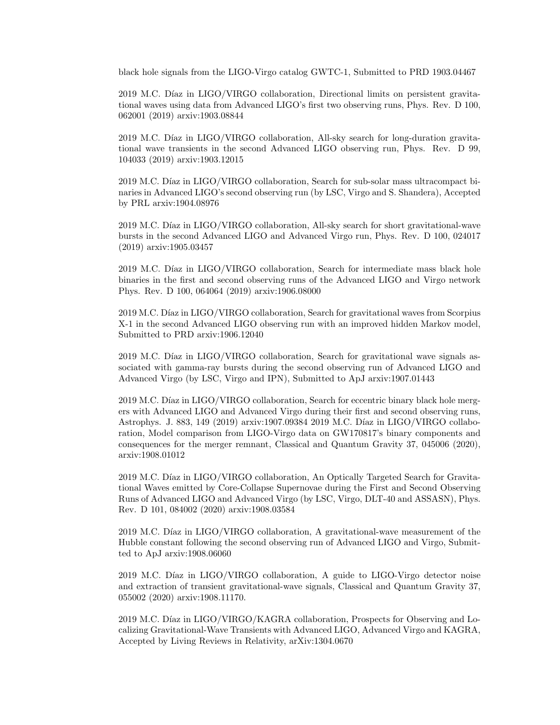black hole signals from the LIGO-Virgo catalog GWTC-1, Submitted to PRD 1903.04467

2019 M.C. Díaz in LIGO/VIRGO collaboration, Directional limits on persistent gravitational waves using data from Advanced LIGO's first two observing runs, Phys. Rev. D 100, 062001 (2019) arxiv:1903.08844

2019 M.C. Díaz in LIGO/VIRGO collaboration, All-sky search for long-duration gravitational wave transients in the second Advanced LIGO observing run, Phys. Rev. D 99, 104033 (2019) arxiv:1903.12015

2019 M.C. Díaz in LIGO/VIRGO collaboration, Search for sub-solar mass ultracompact binaries in Advanced LIGO's second observing run (by LSC, Virgo and S. Shandera), Accepted by PRL arxiv:1904.08976

2019 M.C. Díaz in LIGO/VIRGO collaboration, All-sky search for short gravitational-wave bursts in the second Advanced LIGO and Advanced Virgo run, Phys. Rev. D 100, 024017 (2019) arxiv:1905.03457

2019 M.C. Díaz in LIGO/VIRGO collaboration, Search for intermediate mass black hole binaries in the first and second observing runs of the Advanced LIGO and Virgo network Phys. Rev. D 100, 064064 (2019) arxiv:1906.08000

2019 M.C. Díaz in LIGO/VIRGO collaboration, Search for gravitational waves from Scorpius X-1 in the second Advanced LIGO observing run with an improved hidden Markov model, Submitted to PRD arxiv:1906.12040

2019 M.C. Díaz in LIGO/VIRGO collaboration, Search for gravitational wave signals associated with gamma-ray bursts during the second observing run of Advanced LIGO and Advanced Virgo (by LSC, Virgo and IPN), Submitted to ApJ arxiv:1907.01443

2019 M.C. Díaz in LIGO/VIRGO collaboration, Search for eccentric binary black hole mergers with Advanced LIGO and Advanced Virgo during their first and second observing runs, Astrophys. J. 883, 149 (2019) arxiv:1907.09384 2019 M.C. Díaz in LIGO/VIRGO collaboration, Model comparison from LIGO-Virgo data on GW170817's binary components and consequences for the merger remnant, Classical and Quantum Gravity 37, 045006 (2020), arxiv:1908.01012

2019 M.C. Díaz in LIGO/VIRGO collaboration, An Optically Targeted Search for Gravitational Waves emitted by Core-Collapse Supernovae during the First and Second Observing Runs of Advanced LIGO and Advanced Virgo (by LSC, Virgo, DLT-40 and ASSASN), Phys. Rev. D 101, 084002 (2020) arxiv:1908.03584

2019 M.C. Díaz in LIGO/VIRGO collaboration, A gravitational-wave measurement of the Hubble constant following the second observing run of Advanced LIGO and Virgo, Submitted to ApJ arxiv:1908.06060

 $2019$  M.C. Díaz in LIGO/VIRGO collaboration, A guide to LIGO-Virgo detector noise and extraction of transient gravitational-wave signals, Classical and Quantum Gravity 37, 055002 (2020) arxiv:1908.11170.

2019 M.C. Díaz in LIGO/VIRGO/KAGRA collaboration, Prospects for Observing and Localizing Gravitational-Wave Transients with Advanced LIGO, Advanced Virgo and KAGRA, Accepted by Living Reviews in Relativity, arXiv:1304.0670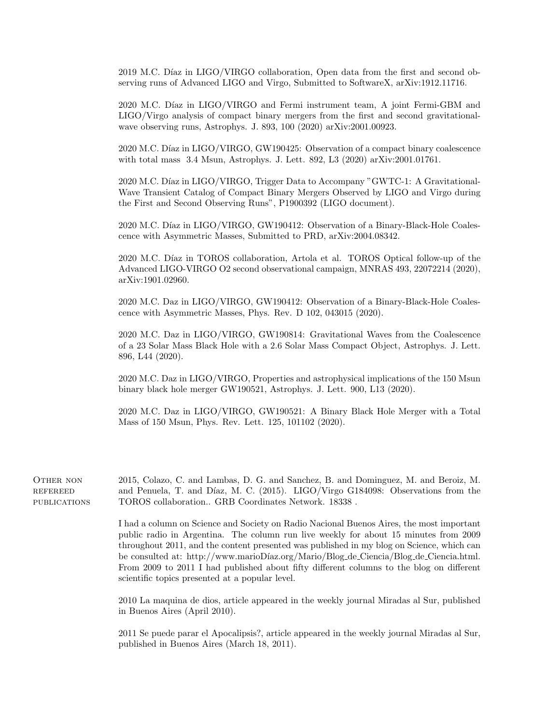2019 M.C. Díaz in LIGO/VIRGO collaboration, Open data from the first and second observing runs of Advanced LIGO and Virgo, Submitted to SoftwareX, arXiv:1912.11716.

2020 M.C. Díaz in LIGO/VIRGO and Fermi instrument team, A joint Fermi-GBM and LIGO/Virgo analysis of compact binary mergers from the first and second gravitationalwave observing runs, Astrophys. J. 893, 100 (2020) arXiv:2001.00923.

2020 M.C. Díaz in LIGO/VIRGO, GW190425: Observation of a compact binary coalescence with total mass 3.4 Msun, Astrophys. J. Lett. 892, L3 (2020) arXiv:2001.01761.

2020 M.C. Díaz in LIGO/VIRGO, Trigger Data to Accompany "GWTC-1: A Gravitational-Wave Transient Catalog of Compact Binary Mergers Observed by LIGO and Virgo during the First and Second Observing Runs", P1900392 (LIGO document).

2020 M.C. Díaz in LIGO/VIRGO, GW190412: Observation of a Binary-Black-Hole Coalescence with Asymmetric Masses, Submitted to PRD, arXiv:2004.08342.

2020 M.C. Díaz in TOROS collaboration, Artola et al. TOROS Optical follow-up of the Advanced LIGO-VIRGO O2 second observational campaign, MNRAS 493, 22072214 (2020), arXiv:1901.02960.

2020 M.C. Daz in LIGO/VIRGO, GW190412: Observation of a Binary-Black-Hole Coalescence with Asymmetric Masses, Phys. Rev. D 102, 043015 (2020).

2020 M.C. Daz in LIGO/VIRGO, GW190814: Gravitational Waves from the Coalescence of a 23 Solar Mass Black Hole with a 2.6 Solar Mass Compact Object, Astrophys. J. Lett. 896, L44 (2020).

2020 M.C. Daz in LIGO/VIRGO, Properties and astrophysical implications of the 150 Msun binary black hole merger GW190521, Astrophys. J. Lett. 900, L13 (2020).

2020 M.C. Daz in LIGO/VIRGO, GW190521: A Binary Black Hole Merger with a Total Mass of 150 Msun, Phys. Rev. Lett. 125, 101102 (2020).

OTHER NON **REFEREED PUBLICATIONS** 2015, Colazo, C. and Lambas, D. G. and Sanchez, B. and Dominguez, M. and Beroiz, M. and Penuela, T. and Díaz, M. C. (2015). LIGO/Virgo G184098: Observations from the TOROS collaboration.. GRB Coordinates Network. 18338 .

> I had a column on Science and Society on Radio Nacional Buenos Aires, the most important public radio in Argentina. The column run live weekly for about 15 minutes from 2009 throughout 2011, and the content presented was published in my blog on Science, which can be consulted at: http://www.marioDíaz.org/Mario/Blog\_de\_Ciencia/Blog\_de\_Ciencia.html. From 2009 to 2011 I had published about fifty different columns to the blog on different scientific topics presented at a popular level.

> 2010 La maquina de dios, article appeared in the weekly journal Miradas al Sur, published in Buenos Aires (April 2010).

> 2011 Se puede parar el Apocalipsis?, article appeared in the weekly journal Miradas al Sur, published in Buenos Aires (March 18, 2011).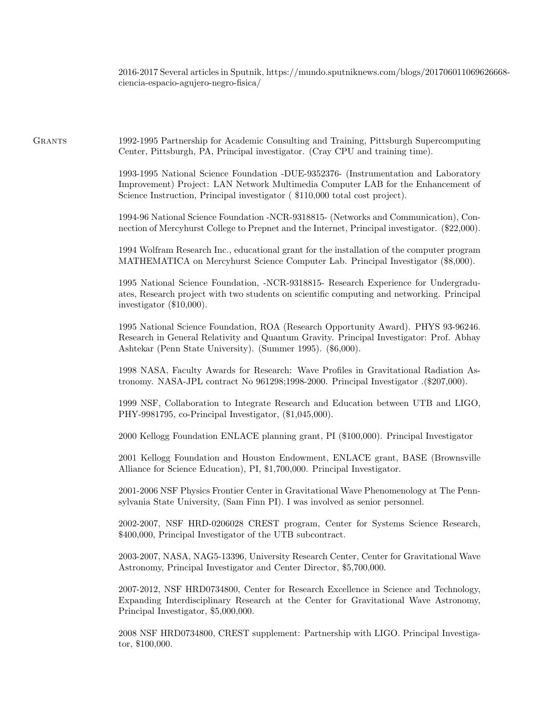2016-2017 Several articles in Sputnik, https://mundo.sputniknews.com/blogs/201706011069626668 ciencia-espacio-agujero-negro-fisica/

Grants 1992-1995 Partnership for Academic Consulting and Training, Pittsburgh Supercomputing Center, Pittsburgh, PA, Principal investigator. (Cray CPU and training time).

> 1993-1995 National Science Foundation -DUE-9352376- (Instrumentation and Laboratory Improvement) Project: LAN Network Multimedia Computer LAB for the Enhancement of Science Instruction, Principal investigator ( \$110,000 total cost project).

> 1994-96 National Science Foundation -NCR-9318815- (Networks and Communication), Connection of Mercyhurst College to Prepnet and the Internet, Principal investigator. (\$22,000).

> 1994 Wolfram Research Inc., educational grant for the installation of the computer program MATHEMATICA on Mercyhurst Science Computer Lab. Principal Investigator (\$8,000).

> 1995 National Science Foundation, -NCR-9318815- Research Experience for Undergraduates, Research project with two students on scientific computing and networking. Principal investigator (\$10,000).

> 1995 National Science Foundation, ROA (Research Opportunity Award). PHYS 93-96246. Research in General Relativity and Quantum Gravity. Principal Investigator: Prof. Abhay Ashtekar (Penn State University). (Summer 1995). (\$6,000).

> 1998 NASA, Faculty Awards for Research: Wave Profiles in Gravitational Radiation Astronomy. NASA-JPL contract No 961298;1998-2000. Principal Investigator .(\$207,000).

> 1999 NSF, Collaboration to Integrate Research and Education between UTB and LIGO, PHY-9981795, co-Principal Investigator, (\$1,045,000).

2000 Kellogg Foundation ENLACE planning grant, PI (\$100,000). Principal Investigator

2001 Kellogg Foundation and Houston Endowment, ENLACE grant, BASE (Brownsville Alliance for Science Education), PI, \$1,700,000. Principal Investigator.

2001-2006 NSF Physics Frontier Center in Gravitational Wave Phenomenology at The Pennsylvania State University, (Sam Finn PI). I was involved as senior personnel.

2002-2007, NSF HRD-0206028 CREST program, Center for Systems Science Research, \$400,000, Principal Investigator of the UTB subcontract.

2003-2007, NASA, NAG5-13396, University Research Center, Center for Gravitational Wave Astronomy, Principal Investigator and Center Director, \$5,700,000.

2007-2012, NSF HRD0734800, Center for Research Excellence in Science and Technology, Expanding Interdisciplinary Research at the Center for Gravitational Wave Astronomy, Principal Investigator, \$5,000,000.

2008 NSF HRD0734800, CREST supplement: Partnership with LIGO. Principal Investigator, \$100,000.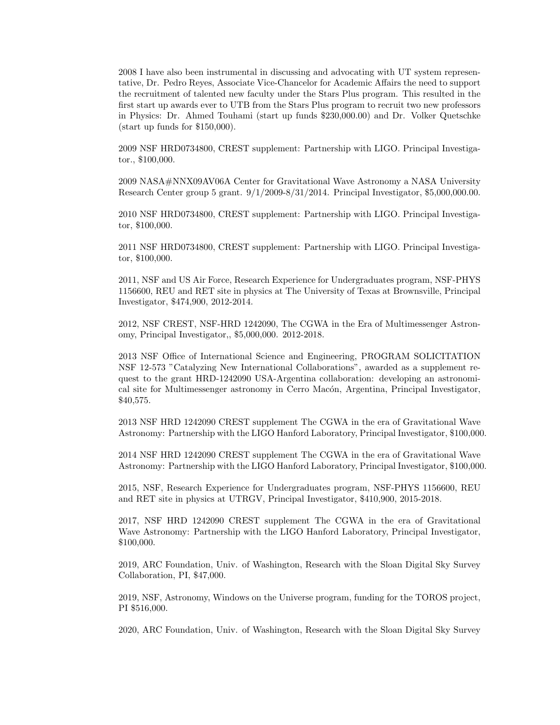2008 I have also been instrumental in discussing and advocating with UT system representative, Dr. Pedro Reyes, Associate Vice-Chancelor for Academic Affairs the need to support the recruitment of talented new faculty under the Stars Plus program. This resulted in the first start up awards ever to UTB from the Stars Plus program to recruit two new professors in Physics: Dr. Ahmed Touhami (start up funds \$230,000.00) and Dr. Volker Quetschke (start up funds for \$150,000).

2009 NSF HRD0734800, CREST supplement: Partnership with LIGO. Principal Investigator., \$100,000.

2009 NASA#NNX09AV06A Center for Gravitational Wave Astronomy a NASA University Research Center group 5 grant. 9/1/2009-8/31/2014. Principal Investigator, \$5,000,000.00.

2010 NSF HRD0734800, CREST supplement: Partnership with LIGO. Principal Investigator, \$100,000.

2011 NSF HRD0734800, CREST supplement: Partnership with LIGO. Principal Investigator, \$100,000.

2011, NSF and US Air Force, Research Experience for Undergraduates program, NSF-PHYS 1156600, REU and RET site in physics at The University of Texas at Brownsville, Principal Investigator, \$474,900, 2012-2014.

2012, NSF CREST, NSF-HRD 1242090, The CGWA in the Era of Multimessenger Astronomy, Principal Investigator,, \$5,000,000. 2012-2018.

2013 NSF Office of International Science and Engineering, PROGRAM SOLICITATION NSF 12-573 "Catalyzing New International Collaborations", awarded as a supplement request to the grant HRD-1242090 USA-Argentina collaboration: developing an astronomical site for Multimessenger astronomy in Cerro Macón, Argentina, Principal Investigator, \$40,575.

2013 NSF HRD 1242090 CREST supplement The CGWA in the era of Gravitational Wave Astronomy: Partnership with the LIGO Hanford Laboratory, Principal Investigator, \$100,000.

2014 NSF HRD 1242090 CREST supplement The CGWA in the era of Gravitational Wave Astronomy: Partnership with the LIGO Hanford Laboratory, Principal Investigator, \$100,000.

2015, NSF, Research Experience for Undergraduates program, NSF-PHYS 1156600, REU and RET site in physics at UTRGV, Principal Investigator, \$410,900, 2015-2018.

2017, NSF HRD 1242090 CREST supplement The CGWA in the era of Gravitational Wave Astronomy: Partnership with the LIGO Hanford Laboratory, Principal Investigator, \$100,000.

2019, ARC Foundation, Univ. of Washington, Research with the Sloan Digital Sky Survey Collaboration, PI, \$47,000.

2019, NSF, Astronomy, Windows on the Universe program, funding for the TOROS project, PI \$516,000.

2020, ARC Foundation, Univ. of Washington, Research with the Sloan Digital Sky Survey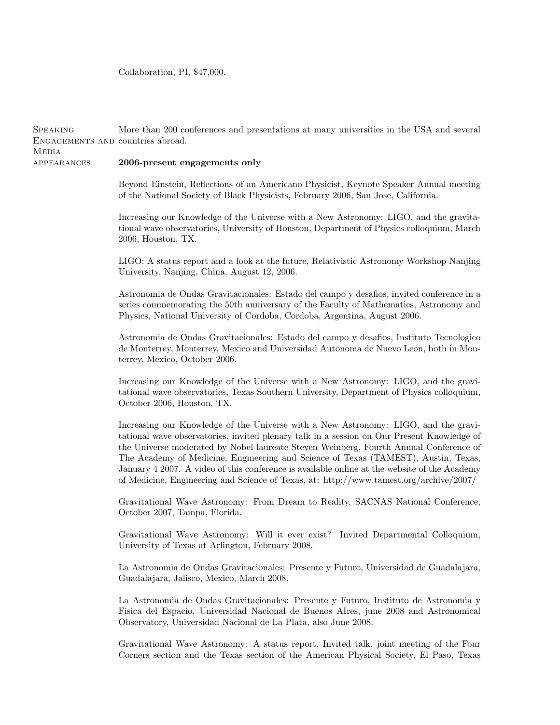Collaboration, PI, \$47,000.

Speaking

**MEDIA** 

ENGAGEMENTS AND countries abroad.

2006, Houston, TX. University, Nanjing, China, August 12, 2006. Physics, National University of Cordoba, Cordoba, Argentina, August 2006. terrey, Mexico, October 2006. Increasing our Knowledge of the Universe with a New Astronomy: LIGO, and the gravi-October 2006, Houston, TX. Increasing our Knowledge of the Universe with a New Astronomy: LIGO, and the graviof Medicine, Engineering and Science of Texas, at: http://www.tamest.org/archive/2007/ Gravitational Wave Astronomy: From Dream to Reality, SACNAS National Conference, October 2007, Tampa, Florida. Gravitational Wave Astronomy: Will it ever exist? Invited Departmental Colloquium, University of Texas at Arlington, February 2008. Guadalajara, Jalisco, Mexico, March 2008. La Astronomia de Ondas Gravitacionales: Presente y Futuro, Instituto de Astronomia y Fisica del Espacio, Universidad Nacional de Buenos AIres, june 2008 and Astronomical

Observatory, Universidad Nacional de La Plata, also June 2008.

Gravitational Wave Astronomy: A status report, Invited talk, joint meeting of the Four Corners section and the Texas section of the American Physical Society, El Paso, Texas

appearances 2006-present engagements only

> Beyond Einstein, Reflections of an Americano Physicist, Keynote Speaker Annual meeting of the National Society of Black Physicists, February 2006, San Jose, California.

> More than 200 conferences and presentations at many universities in the USA and several

Increasing our Knowledge of the Universe with a New Astronomy: LIGO, and the gravitational wave observatories, University of Houston, Department of Physics colloquium, March

LIGO: A status report and a look at the future, Relativistic Astronomy Workshop Nanjing

Astronomia de Ondas Gravitacionales: Estado del campo y desafios, invited conference in a series commemorating the 50th anniversary of the Faculty of Mathematics, Astronomy and

Astronomia de Ondas Gravitacionales: Estado del campo y desafios, Instituto Tecnologico de Monterrey, Monterrey, Mexico and Universidad Autonoma de Nuevo Leon, both in Mon-

tational wave observatories, Texas Southern University, Department of Physics colloquium,

tational wave observatories, invited plenary talk in a session on Our Present Knowledge of the Universe moderated by Nobel laureate Steven Weinberg, Fourth Annual Conference of The Academy of Medicine, Engineering and Science of Texas (TAMEST), Austin, Texas, January 4 2007. A video of this conference is available online at the website of the Academy

La Astronomia de Ondas Gravitacionales: Presente y Futuro, Universidad de Guadalajara,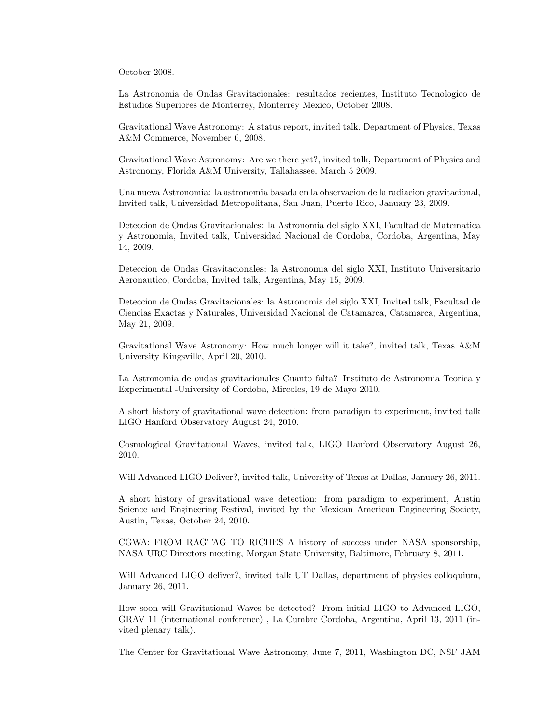October 2008.

La Astronomia de Ondas Gravitacionales: resultados recientes, Instituto Tecnologico de Estudios Superiores de Monterrey, Monterrey Mexico, October 2008.

Gravitational Wave Astronomy: A status report, invited talk, Department of Physics, Texas A&M Commerce, November 6, 2008.

Gravitational Wave Astronomy: Are we there yet?, invited talk, Department of Physics and Astronomy, Florida A&M University, Tallahassee, March 5 2009.

Una nueva Astronomia: la astronomia basada en la observacion de la radiacion gravitacional, Invited talk, Universidad Metropolitana, San Juan, Puerto Rico, January 23, 2009.

Deteccion de Ondas Gravitacionales: la Astronomia del siglo XXI, Facultad de Matematica y Astronomia, Invited talk, Universidad Nacional de Cordoba, Cordoba, Argentina, May 14, 2009.

Deteccion de Ondas Gravitacionales: la Astronomia del siglo XXI, Instituto Universitario Aeronautico, Cordoba, Invited talk, Argentina, May 15, 2009.

Deteccion de Ondas Gravitacionales: la Astronomia del siglo XXI, Invited talk, Facultad de Ciencias Exactas y Naturales, Universidad Nacional de Catamarca, Catamarca, Argentina, May 21, 2009.

Gravitational Wave Astronomy: How much longer will it take?, invited talk, Texas A&M University Kingsville, April 20, 2010.

La Astronomia de ondas gravitacionales Cuanto falta? Instituto de Astronomia Teorica y Experimental -University of Cordoba, Mircoles, 19 de Mayo 2010.

A short history of gravitational wave detection: from paradigm to experiment, invited talk LIGO Hanford Observatory August 24, 2010.

Cosmological Gravitational Waves, invited talk, LIGO Hanford Observatory August 26, 2010.

Will Advanced LIGO Deliver?, invited talk, University of Texas at Dallas, January 26, 2011.

A short history of gravitational wave detection: from paradigm to experiment, Austin Science and Engineering Festival, invited by the Mexican American Engineering Society, Austin, Texas, October 24, 2010.

CGWA: FROM RAGTAG TO RICHES A history of success under NASA sponsorship, NASA URC Directors meeting, Morgan State University, Baltimore, February 8, 2011.

Will Advanced LIGO deliver?, invited talk UT Dallas, department of physics colloquium, January 26, 2011.

How soon will Gravitational Waves be detected? From initial LIGO to Advanced LIGO, GRAV 11 (international conference) , La Cumbre Cordoba, Argentina, April 13, 2011 (invited plenary talk).

The Center for Gravitational Wave Astronomy, June 7, 2011, Washington DC, NSF JAM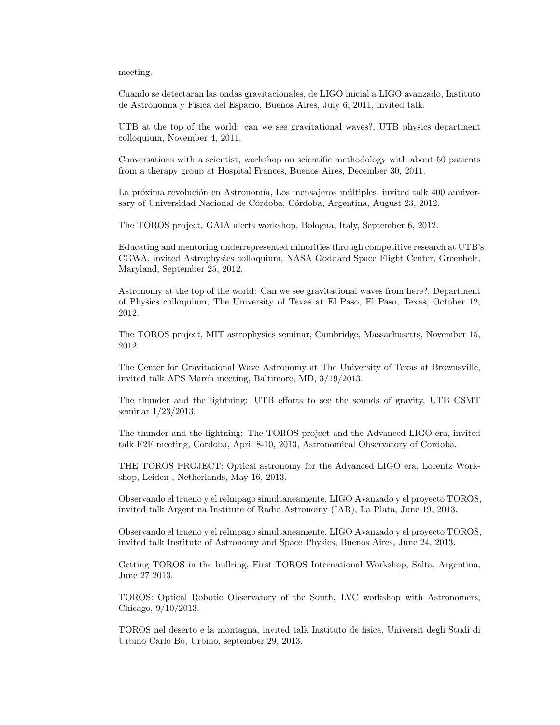#### meeting.

Cuando se detectaran las ondas gravitacionales, de LIGO inicial a LIGO avanzado, Instituto de Astronomia y Fisica del Espacio, Buenos Aires, July 6, 2011, invited talk.

UTB at the top of the world: can we see gravitational waves?, UTB physics department colloquium, November 4, 2011.

Conversations with a scientist, workshop on scientific methodology with about 50 patients from a therapy group at Hospital Frances, Buenos Aires, December 30, 2011.

La próxima revolución en Astronomía, Los mensajeros múltiples, invited talk 400 anniversary of Universidad Nacional de Córdoba, Córdoba, Argentina, August 23, 2012.

The TOROS project, GAIA alerts workshop, Bologna, Italy, September 6, 2012.

Educating and mentoring underrepresented minorities through competitive research at UTB's CGWA, invited Astrophysics colloquium, NASA Goddard Space Flight Center, Greenbelt, Maryland, September 25, 2012.

Astronomy at the top of the world: Can we see gravitational waves from here?, Department of Physics colloquium, The University of Texas at El Paso, El Paso, Texas, October 12, 2012.

The TOROS project, MIT astrophysics seminar, Cambridge, Massachusetts, November 15, 2012.

The Center for Gravitational Wave Astronomy at The University of Texas at Brownsville, invited talk APS March meeting, Baltimore, MD, 3/19/2013.

The thunder and the lightning: UTB efforts to see the sounds of gravity, UTB CSMT seminar 1/23/2013.

The thunder and the lightning: The TOROS project and the Advanced LIGO era, invited talk F2F meeting, Cordoba, April 8-10, 2013, Astronomical Observatory of Cordoba.

THE TOROS PROJECT: Optical astronomy for the Advanced LIGO era, Lorentz Workshop, Leiden , Netherlands, May 16, 2013.

Observando el trueno y el relmpago simultaneamente, LIGO Avanzado y el proyecto TOROS, invited talk Argentina Institute of Radio Astronomy (IAR), La Plata, June 19, 2013.

Observando el trueno y el relmpago simultaneamente, LIGO Avanzado y el proyecto TOROS, invited talk Institute of Astronomy and Space Physics, Buenos Aires, June 24, 2013.

Getting TOROS in the bullring, First TOROS International Workshop, Salta, Argentina, June 27 2013.

TOROS: Optical Robotic Observatory of the South, LVC workshop with Astronomers, Chicago, 9/10/2013.

TOROS nel deserto e la montagna, invited talk Instituto de fisica, Universit degli Studi di Urbino Carlo Bo, Urbino, september 29, 2013.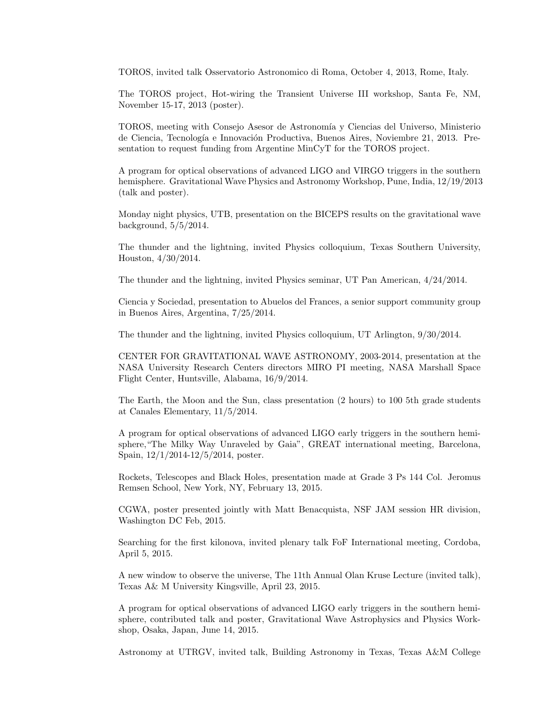TOROS, invited talk Osservatorio Astronomico di Roma, October 4, 2013, Rome, Italy.

The TOROS project, Hot-wiring the Transient Universe III workshop, Santa Fe, NM, November 15-17, 2013 (poster).

TOROS, meeting with Consejo Asesor de Astronomía y Ciencias del Universo, Ministerio de Ciencia, Tecnología e Innovación Productiva, Buenos Aires, Noviembre 21, 2013. Presentation to request funding from Argentine MinCyT for the TOROS project.

A program for optical observations of advanced LIGO and VIRGO triggers in the southern hemisphere. Gravitational Wave Physics and Astronomy Workshop, Pune, India, 12/19/2013 (talk and poster).

Monday night physics, UTB, presentation on the BICEPS results on the gravitational wave background, 5/5/2014.

The thunder and the lightning, invited Physics colloquium, Texas Southern University, Houston, 4/30/2014.

The thunder and the lightning, invited Physics seminar, UT Pan American, 4/24/2014.

Ciencia y Sociedad, presentation to Abuelos del Frances, a senior support community group in Buenos Aires, Argentina, 7/25/2014.

The thunder and the lightning, invited Physics colloquium, UT Arlington, 9/30/2014.

CENTER FOR GRAVITATIONAL WAVE ASTRONOMY, 2003-2014, presentation at the NASA University Research Centers directors MIRO PI meeting, NASA Marshall Space Flight Center, Huntsville, Alabama, 16/9/2014.

The Earth, the Moon and the Sun, class presentation (2 hours) to 100 5th grade students at Canales Elementary, 11/5/2014.

A program for optical observations of advanced LIGO early triggers in the southern hemisphere,"The Milky Way Unraveled by Gaia", GREAT international meeting, Barcelona, Spain, 12/1/2014-12/5/2014, poster.

Rockets, Telescopes and Black Holes, presentation made at Grade 3 Ps 144 Col. Jeromus Remsen School, New York, NY, February 13, 2015.

CGWA, poster presented jointly with Matt Benacquista, NSF JAM session HR division, Washington DC Feb, 2015.

Searching for the first kilonova, invited plenary talk FoF International meeting, Cordoba, April 5, 2015.

A new window to observe the universe, The 11th Annual Olan Kruse Lecture (invited talk), Texas A& M University Kingsville, April 23, 2015.

A program for optical observations of advanced LIGO early triggers in the southern hemisphere, contributed talk and poster, Gravitational Wave Astrophysics and Physics Workshop, Osaka, Japan, June 14, 2015.

Astronomy at UTRGV, invited talk, Building Astronomy in Texas, Texas A&M College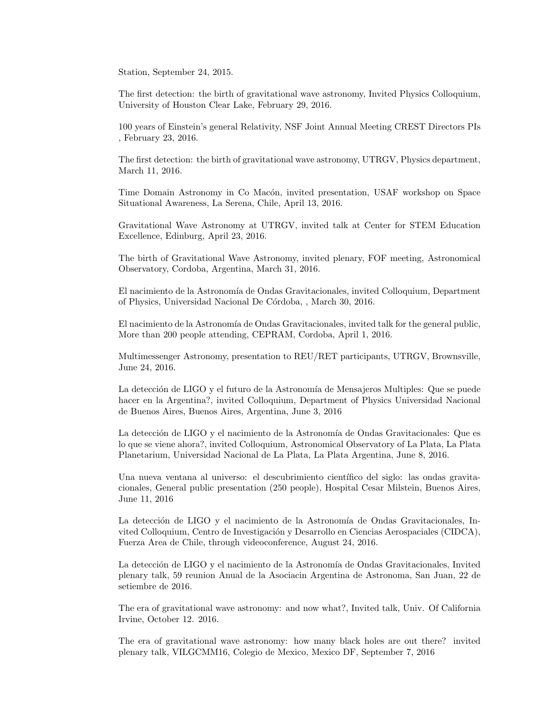Station, September 24, 2015.

The first detection: the birth of gravitational wave astronomy, Invited Physics Colloquium, University of Houston Clear Lake, February 29, 2016.

100 years of Einstein's general Relativity, NSF Joint Annual Meeting CREST Directors PIs , February 23, 2016.

The first detection: the birth of gravitational wave astronomy, UTRGV, Physics department, March 11, 2016.

Time Domain Astronomy in Co Macón, invited presentation, USAF workshop on Space Situational Awareness, La Serena, Chile, April 13, 2016.

Gravitational Wave Astronomy at UTRGV, invited talk at Center for STEM Education Excellence, Edinburg, April 23, 2016.

The birth of Gravitational Wave Astronomy, invited plenary, FOF meeting, Astronomical Observatory, Cordoba, Argentina, March 31, 2016.

El nacimiento de la Astronomía de Ondas Gravitacionales, invited Colloquium, Department of Physics, Universidad Nacional De Córdoba, , March 30, 2016.

El nacimiento de la Astronomía de Ondas Gravitacionales, invited talk for the general public, More than 200 people attending, CEPRAM, Cordoba, April 1, 2016.

Multimessenger Astronomy, presentation to REU/RET participants, UTRGV, Brownsville, June 24, 2016.

La detección de LIGO y el futuro de la Astronomía de Mensajeros Multiples: Que se puede hacer en la Argentina?, invited Colloquium, Department of Physics Universidad Nacional de Buenos Aires, Buenos Aires, Argentina, June 3, 2016

La detección de LIGO y el nacimiento de la Astronomía de Ondas Gravitacionales: Que es lo que se viene ahora?, invited Colloquium, Astronomical Observatory of La Plata, La Plata Planetarium, Universidad Nacional de La Plata, La Plata Argentina, June 8, 2016.

Una nueva ventana al universo: el descubrimiento cient´ıfico del siglo: las ondas gravitacionales, General public presentation (250 people), Hospital Cesar Milstein, Buenos Aires, June 11, 2016

La detección de LIGO y el nacimiento de la Astronomía de Ondas Gravitacionales, Invited Colloquium, Centro de Investigación y Desarrollo en Ciencias Aerospaciales (CIDCA), Fuerza Area de Chile, through videoconference, August 24, 2016.

La detección de LIGO y el nacimiento de la Astronomía de Ondas Gravitacionales, Invited plenary talk, 59 reunion Anual de la Asociacin Argentina de Astronoma, San Juan, 22 de setiembre de 2016.

The era of gravitational wave astronomy: and now what?, Invited talk, Univ. Of California Irvine, October 12. 2016.

The era of gravitational wave astronomy: how many black holes are out there? invited plenary talk, VILGCMM16, Colegio de Mexico, Mexico DF, September 7, 2016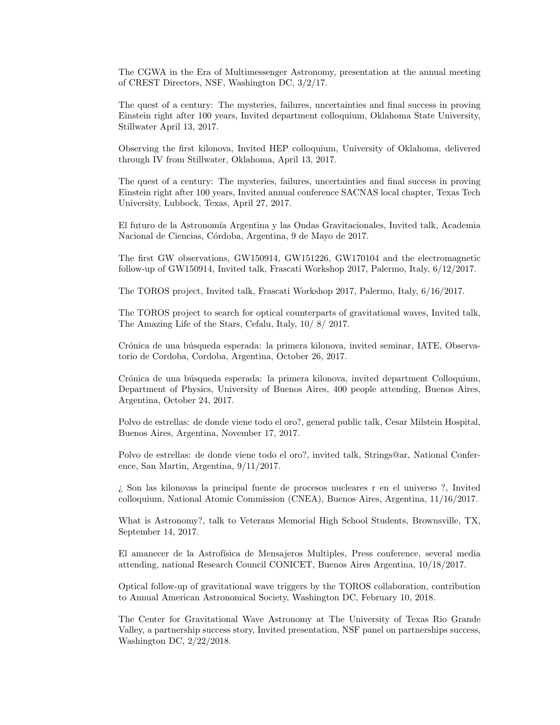The CGWA in the Era of Multimessenger Astronomy, presentation at the annual meeting of CREST Directors, NSF, Washington DC, 3/2/17.

The quest of a century: The mysteries, failures, uncertainties and final success in proving Einstein right after 100 years, Invited department colloquium, Oklahoma State University, Stillwater April 13, 2017.

Observing the first kilonova, Invited HEP colloquium, University of Oklahoma, delivered through IV from Stillwater, Oklahoma, April 13, 2017.

The quest of a century: The mysteries, failures, uncertainties and final success in proving Einstein right after 100 years, Invited annual conference SACNAS local chapter, Texas Tech University, Lubbock, Texas, April 27, 2017.

El futuro de la Astronomía Argentina y las Ondas Gravitacionales, Invited talk, Academia Nacional de Ciencias, Córdoba, Argentina, 9 de Mayo de 2017.

The first GW observations, GW150914, GW151226, GW170104 and the electromagnetic follow-up of GW150914, Invited talk, Frascati Workshop 2017, Palermo, Italy, 6/12/2017.

The TOROS project, Invited talk, Frascati Workshop 2017, Palermo, Italy, 6/16/2017.

The TOROS project to search for optical counterparts of gravitational waves, Invited talk, The Amazing Life of the Stars, Cefalu, Italy, 10/ 8/ 2017.

Crónica de una búsqueda esperada: la primera kilonova, invited seminar, IATE, Observatorio de Cordoba, Cordoba, Argentina, October 26, 2017.

Crónica de una búsqueda esperada: la primera kilonova, invited department Colloquium, Department of Physics, University of Buenos Aires, 400 people attending, Buenos Aires, Argentina, October 24, 2017.

Polvo de estrellas: de donde viene todo el oro?, general public talk, Cesar Milstein Hospital, Buenos Aires, Argentina, November 17, 2017.

Polvo de estrellas: de donde viene todo el oro?, invited talk, Strings@ar, National Conference, San Martin, Argentina, 9/11/2017.

¿ Son las kilonovas la principal fuente de procesos nucleares r en el universo ?, Invited colloquium, National Atomic Commission (CNEA), Buenos Aires, Argentina, 11/16/2017.

What is Astronomy?, talk to Veterans Memorial High School Students, Brownsville, TX, September 14, 2017.

El amanecer de la Astrofísica de Mensajeros Multiples, Press conference, several media attending, national Research Council CONICET, Buenos Aires Argentina, 10/18/2017.

Optical follow-up of gravitational wave triggers by the TOROS collaboration, contribution to Annual American Astronomical Society, Washington DC, February 10, 2018.

The Center for Gravitational Wave Astronomy at The University of Texas Rio Grande Valley, a partnership success story, Invited presentation, NSF panel on partnerships success, Washington DC, 2/22/2018.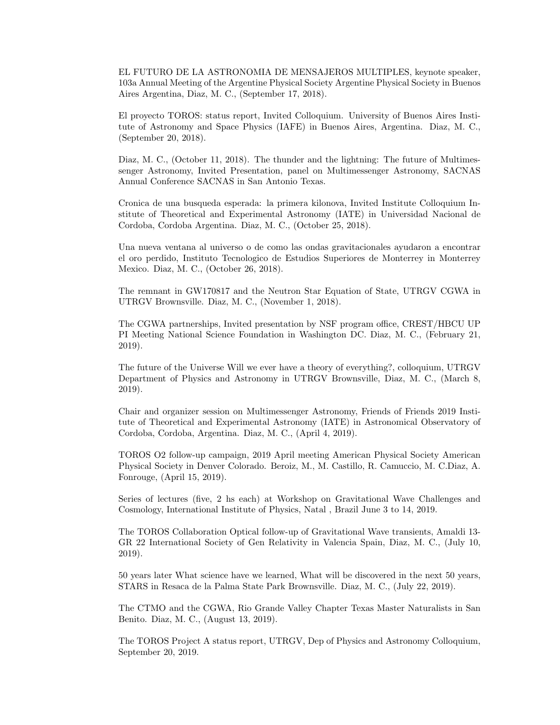EL FUTURO DE LA ASTRONOMIA DE MENSAJEROS MULTIPLES, keynote speaker, 103a Annual Meeting of the Argentine Physical Society Argentine Physical Society in Buenos Aires Argentina, Diaz, M. C., (September 17, 2018).

El proyecto TOROS: status report, Invited Colloquium. University of Buenos Aires Institute of Astronomy and Space Physics (IAFE) in Buenos Aires, Argentina. Diaz, M. C., (September 20, 2018).

Diaz, M. C., (October 11, 2018). The thunder and the lightning: The future of Multimessenger Astronomy, Invited Presentation, panel on Multimessenger Astronomy, SACNAS Annual Conference SACNAS in San Antonio Texas.

Cronica de una busqueda esperada: la primera kilonova, Invited Institute Colloquium Institute of Theoretical and Experimental Astronomy (IATE) in Universidad Nacional de Cordoba, Cordoba Argentina. Diaz, M. C., (October 25, 2018).

Una nueva ventana al universo o de como las ondas gravitacionales ayudaron a encontrar el oro perdido, Instituto Tecnologico de Estudios Superiores de Monterrey in Monterrey Mexico. Diaz, M. C., (October 26, 2018).

The remnant in GW170817 and the Neutron Star Equation of State, UTRGV CGWA in UTRGV Brownsville. Diaz, M. C., (November 1, 2018).

The CGWA partnerships, Invited presentation by NSF program office, CREST/HBCU UP PI Meeting National Science Foundation in Washington DC. Diaz, M. C., (February 21, 2019).

The future of the Universe Will we ever have a theory of everything?, colloquium, UTRGV Department of Physics and Astronomy in UTRGV Brownsville, Diaz, M. C., (March 8, 2019).

Chair and organizer session on Multimessenger Astronomy, Friends of Friends 2019 Institute of Theoretical and Experimental Astronomy (IATE) in Astronomical Observatory of Cordoba, Cordoba, Argentina. Diaz, M. C., (April 4, 2019).

TOROS O2 follow-up campaign, 2019 April meeting American Physical Society American Physical Society in Denver Colorado. Beroiz, M., M. Castillo, R. Camuccio, M. C.Diaz, A. Fonrouge, (April 15, 2019).

Series of lectures (five, 2 hs each) at Workshop on Gravitational Wave Challenges and Cosmology, International Institute of Physics, Natal , Brazil June 3 to 14, 2019.

The TOROS Collaboration Optical follow-up of Gravitational Wave transients, Amaldi 13- GR 22 International Society of Gen Relativity in Valencia Spain, Diaz, M. C., (July 10, 2019).

50 years later What science have we learned, What will be discovered in the next 50 years, STARS in Resaca de la Palma State Park Brownsville. Diaz, M. C., (July 22, 2019).

The CTMO and the CGWA, Rio Grande Valley Chapter Texas Master Naturalists in San Benito. Diaz, M. C., (August 13, 2019).

The TOROS Project A status report, UTRGV, Dep of Physics and Astronomy Colloquium, September 20, 2019.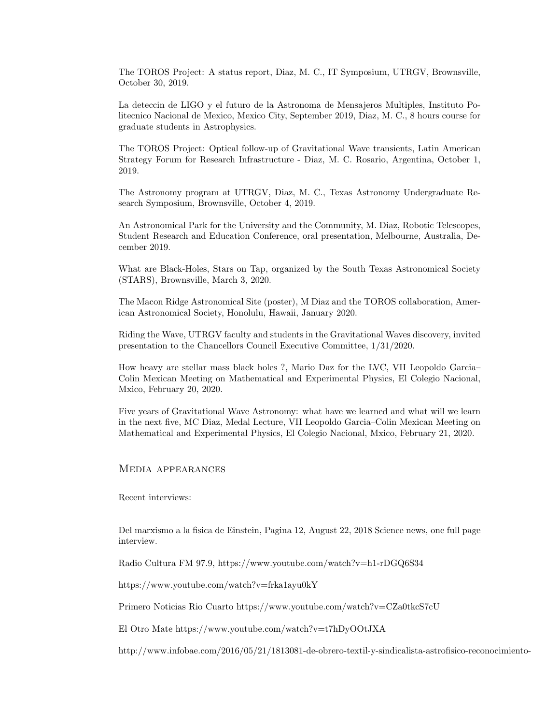The TOROS Project: A status report, Diaz, M. C., IT Symposium, UTRGV, Brownsville, October 30, 2019.

La deteccin de LIGO y el futuro de la Astronoma de Mensajeros Multiples, Instituto Politecnico Nacional de Mexico, Mexico City, September 2019, Diaz, M. C., 8 hours course for graduate students in Astrophysics.

The TOROS Project: Optical follow-up of Gravitational Wave transients, Latin American Strategy Forum for Research Infrastructure - Diaz, M. C. Rosario, Argentina, October 1, 2019.

The Astronomy program at UTRGV, Diaz, M. C., Texas Astronomy Undergraduate Research Symposium, Brownsville, October 4, 2019.

An Astronomical Park for the University and the Community, M. Diaz, Robotic Telescopes, Student Research and Education Conference, oral presentation, Melbourne, Australia, December 2019.

What are Black-Holes, Stars on Tap, organized by the South Texas Astronomical Society (STARS), Brownsville, March 3, 2020.

The Macon Ridge Astronomical Site (poster), M Diaz and the TOROS collaboration, American Astronomical Society, Honolulu, Hawaii, January 2020.

Riding the Wave, UTRGV faculty and students in the Gravitational Waves discovery, invited presentation to the Chancellors Council Executive Committee, 1/31/2020.

How heavy are stellar mass black holes ?, Mario Daz for the LVC, VII Leopoldo Garcia– Colin Mexican Meeting on Mathematical and Experimental Physics, El Colegio Nacional, Mxico, February 20, 2020.

Five years of Gravitational Wave Astronomy: what have we learned and what will we learn in the next five, MC Diaz, Medal Lecture, VII Leopoldo Garcia–Colin Mexican Meeting on Mathematical and Experimental Physics, El Colegio Nacional, Mxico, February 21, 2020.

Media appearances

Recent interviews:

Del marxismo a la fisica de Einstein, Pagina 12, August 22, 2018 Science news, one full page interview.

Radio Cultura FM 97.9, https://www.youtube.com/watch?v=h1-rDGQ6S34

https://www.youtube.com/watch?v=frka1ayu0kY

Primero Noticias Rio Cuarto https://www.youtube.com/watch?v=CZa0tkcS7cU

El Otro Mate https://www.youtube.com/watch?v=t7hDyOOtJXA

http://www.infobae.com/2016/05/21/1813081-de-obrero-textil-y-sindicalista-astrofisico-reconocimiento-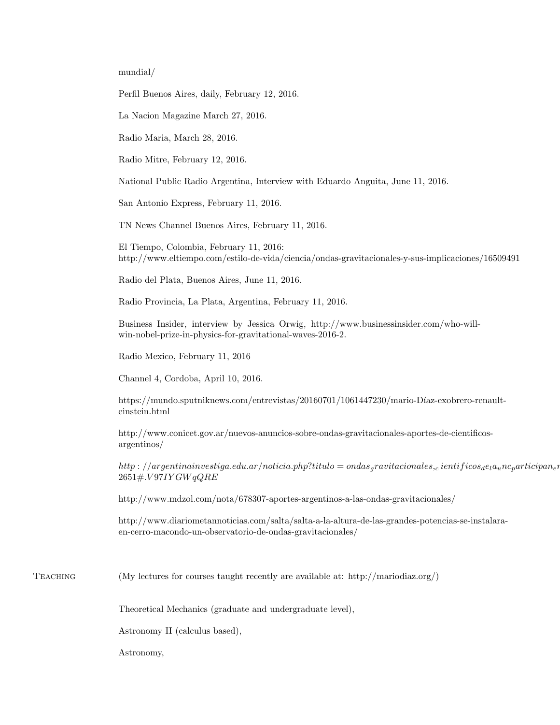mundial/

Perfil Buenos Aires, daily, February 12, 2016.

La Nacion Magazine March 27, 2016.

Radio Maria, March 28, 2016.

Radio Mitre, February 12, 2016.

National Public Radio Argentina, Interview with Eduardo Anguita, June 11, 2016.

San Antonio Express, February 11, 2016.

TN News Channel Buenos Aires, February 11, 2016.

El Tiempo, Colombia, February 11, 2016: http://www.eltiempo.com/estilo-de-vida/ciencia/ondas-gravitacionales-y-sus-implicaciones/16509491

Radio del Plata, Buenos Aires, June 11, 2016.

Radio Provincia, La Plata, Argentina, February 11, 2016.

Business Insider, interview by Jessica Orwig, http://www.businessinsider.com/who-willwin-nobel-prize-in-physics-for-gravitational-waves-2016-2.

Radio Mexico, February 11, 2016

Channel 4, Cordoba, April 10, 2016.

https://mundo.sputniknews.com/entrevistas/20160701/1061447230/mario-Díaz-exobrero-renaulteinstein.html

http://www.conicet.gov.ar/nuevos-anuncios-sobre-ondas-gravitacionales-aportes-de-cientificosargentinos/

http : //argentinainvestiga.edu.ar/noticia.php?titulo = ondas<sub>a</sub>ravitacionales,<sub>c</sub> ientificos<sub>d</sub>e<sub>l</sub>a<sub>u</sub>nc<sub>p</sub>articipan<sub>e</sub> 2651#.V 97IY GW qQRE

http://www.mdzol.com/nota/678307-aportes-argentinos-a-las-ondas-gravitacionales/

http://www.diariometannoticias.com/salta/salta-a-la-altura-de-las-grandes-potencias-se-instalaraen-cerro-macondo-un-observatorio-de-ondas-gravitacionales/

Teaching (My lectures for courses taught recently are available at: http://mariodiaz.org/)

Theoretical Mechanics (graduate and undergraduate level),

Astronomy II (calculus based),

Astronomy,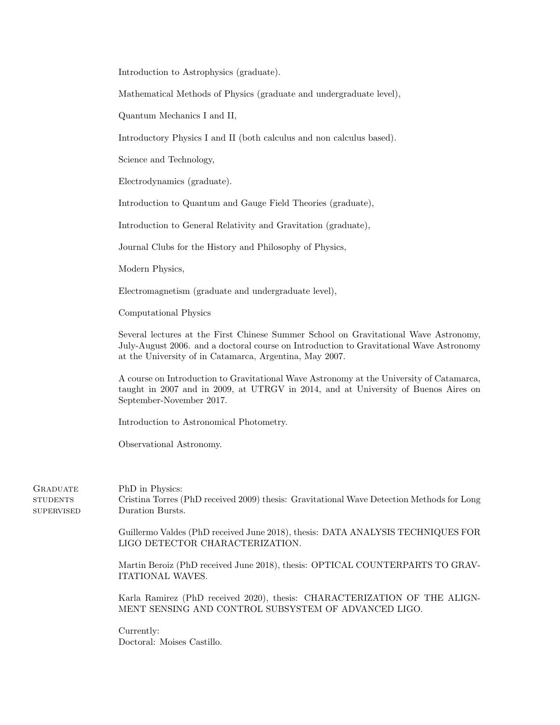Introduction to Astrophysics (graduate).

Mathematical Methods of Physics (graduate and undergraduate level),

Quantum Mechanics I and II,

Introductory Physics I and II (both calculus and non calculus based).

Science and Technology,

Electrodynamics (graduate).

Introduction to Quantum and Gauge Field Theories (graduate),

Introduction to General Relativity and Gravitation (graduate),

Journal Clubs for the History and Philosophy of Physics,

Modern Physics,

Electromagnetism (graduate and undergraduate level),

Computational Physics

Several lectures at the First Chinese Summer School on Gravitational Wave Astronomy, July-August 2006. and a doctoral course on Introduction to Gravitational Wave Astronomy at the University of in Catamarca, Argentina, May 2007.

A course on Introduction to Gravitational Wave Astronomy at the University of Catamarca, taught in 2007 and in 2009, at UTRGV in 2014, and at University of Buenos Aires on September-November 2017.

Introduction to Astronomical Photometry.

Observational Astronomy.

**GRADUATE STUDENTS SUPERVISED**  PhD in Physics: Cristina Torres (PhD received 2009) thesis: Gravitational Wave Detection Methods for Long Duration Bursts.

Guillermo Valdes (PhD received June 2018), thesis: DATA ANALYSIS TECHNIQUES FOR LIGO DETECTOR CHARACTERIZATION.

Martin Beroiz (PhD received June 2018), thesis: OPTICAL COUNTERPARTS TO GRAV-ITATIONAL WAVES.

Karla Ramirez (PhD received 2020), thesis: CHARACTERIZATION OF THE ALIGN-MENT SENSING AND CONTROL SUBSYSTEM OF ADVANCED LIGO.

Currently: Doctoral: Moises Castillo.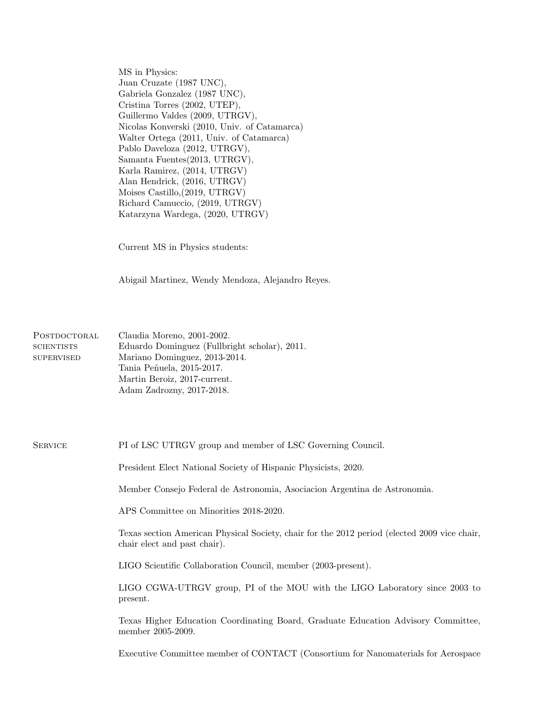MS in Physics: Juan Cruzate (1987 UNC), Gabriela Gonzalez (1987 UNC), Cristina Torres (2002, UTEP), Guillermo Valdes (2009, UTRGV), Nicolas Konverski (2010, Univ. of Catamarca) Walter Ortega (2011, Univ. of Catamarca) Pablo Daveloza (2012, UTRGV), Samanta Fuentes(2013, UTRGV), Karla Ramirez, (2014, UTRGV) Alan Hendrick, (2016, UTRGV) Moises Castillo,(2019, UTRGV) Richard Camuccio, (2019, UTRGV) Katarzyna Wardega, (2020, UTRGV)

Current MS in Physics students:

Abigail Martinez, Wendy Mendoza, Alejandro Reyes.

| POSTDOCTORAL      | Claudia Moreno, 2001-2002.                    |
|-------------------|-----------------------------------------------|
| <b>SCIENTISTS</b> | Eduardo Dominguez (Fullbright scholar), 2011. |
| <b>SUPERVISED</b> | Mariano Dominguez, 2013-2014.                 |
|                   | Tania Peñuela, 2015-2017.                     |
|                   | Martin Beroiz, 2017-current.                  |
|                   | Adam Zadrozny, 2017-2018.                     |

#### SERVICE PI of LSC UTRGV group and member of LSC Governing Council.

President Elect National Society of Hispanic Physicists, 2020.

Member Consejo Federal de Astronomia, Asociacion Argentina de Astronomia.

APS Committee on Minorities 2018-2020.

Texas section American Physical Society, chair for the 2012 period (elected 2009 vice chair, chair elect and past chair).

LIGO Scientific Collaboration Council, member (2003-present).

LIGO CGWA-UTRGV group, PI of the MOU with the LIGO Laboratory since 2003 to present.

Texas Higher Education Coordinating Board, Graduate Education Advisory Committee, member 2005-2009.

Executive Committee member of CONTACT (Consortium for Nanomaterials for Aerospace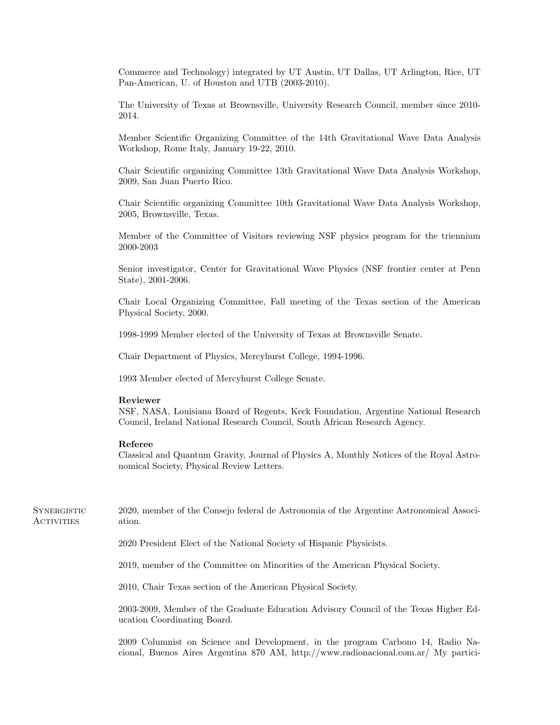Commerce and Technology) integrated by UT Austin, UT Dallas, UT Arlington, Rice, UT Pan-American, U. of Houston and UTB (2003-2010).

The University of Texas at Brownsville, University Research Council, member since 2010- 2014.

Member Scientific Organizing Committee of the 14th Gravitational Wave Data Analysis Workshop, Rome Italy, January 19-22, 2010.

Chair Scientific organizing Committee 13th Gravitational Wave Data Analysis Workshop, 2009, San Juan Puerto Rico.

Chair Scientific organizing Committee 10th Gravitational Wave Data Analysis Workshop, 2005, Brownsville, Texas.

Member of the Committee of Visitors reviewing NSF physics program for the triennium 2000-2003

Senior investigator, Center for Gravitational Wave Physics (NSF frontier center at Penn State), 2001-2006.

Chair Local Organizing Committee, Fall meeting of the Texas section of the American Physical Society, 2000.

1998-1999 Member elected of the University of Texas at Brownsville Senate.

Chair Department of Physics, Mercyhurst College, 1994-1996.

1993 Member elected of Mercyhurst College Senate.

#### Reviewer

NSF, NASA, Louisiana Board of Regents, Keck Foundation, Argentine National Research Council, Ireland National Research Council, South African Research Agency.

#### Referee

Classical and Quantum Gravity, Journal of Physics A, Monthly Notices of the Royal Astronomical Society, Physical Review Letters.

**SYNERGISTIC** Activities 2020, member of the Consejo federal de Astronomia of the Argentine Astronomical Association. 2020 President Elect of the National Society of Hispanic Physicists. 2019, member of the Committee on Minorities of the American Physical Society. 2010, Chair Texas section of the American Physical Society. 2003-2009, Member of the Graduate Education Advisory Council of the Texas Higher Education Coordinating Board.

2009 Columnist on Science and Development, in the program Carbono 14, Radio Nacional, Buenos Aires Argentina 870 AM, http://www.radionacional.com.ar/ My partici-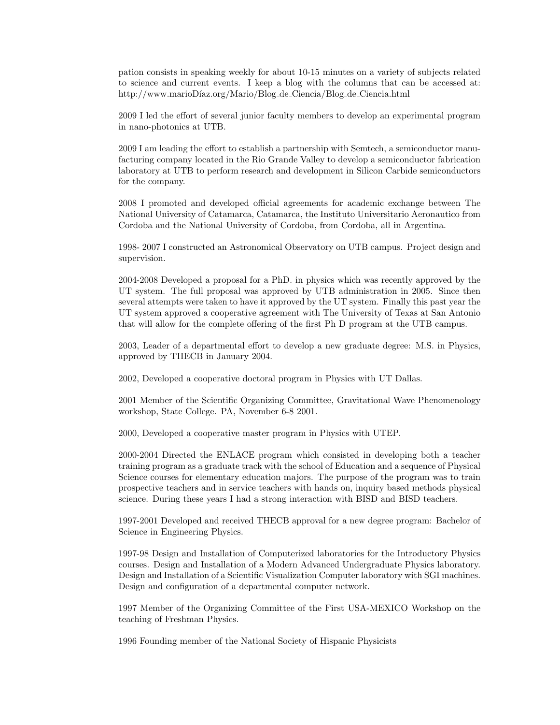pation consists in speaking weekly for about 10-15 minutes on a variety of subjects related to science and current events. I keep a blog with the columns that can be accessed at: http://www.marioDíaz.org/Mario/Blog\_de\_Ciencia/Blog\_de\_Ciencia.html

2009 I led the effort of several junior faculty members to develop an experimental program in nano-photonics at UTB.

2009 I am leading the effort to establish a partnership with Semtech, a semiconductor manufacturing company located in the Rio Grande Valley to develop a semiconductor fabrication laboratory at UTB to perform research and development in Silicon Carbide semiconductors for the company.

2008 I promoted and developed official agreements for academic exchange between The National University of Catamarca, Catamarca, the Instituto Universitario Aeronautico from Cordoba and the National University of Cordoba, from Cordoba, all in Argentina.

1998- 2007 I constructed an Astronomical Observatory on UTB campus. Project design and supervision.

2004-2008 Developed a proposal for a PhD. in physics which was recently approved by the UT system. The full proposal was approved by UTB administration in 2005. Since then several attempts were taken to have it approved by the UT system. Finally this past year the UT system approved a cooperative agreement with The University of Texas at San Antonio that will allow for the complete offering of the first Ph D program at the UTB campus.

2003, Leader of a departmental effort to develop a new graduate degree: M.S. in Physics, approved by THECB in January 2004.

2002, Developed a cooperative doctoral program in Physics with UT Dallas.

2001 Member of the Scientific Organizing Committee, Gravitational Wave Phenomenology workshop, State College. PA, November 6-8 2001.

2000, Developed a cooperative master program in Physics with UTEP.

2000-2004 Directed the ENLACE program which consisted in developing both a teacher training program as a graduate track with the school of Education and a sequence of Physical Science courses for elementary education majors. The purpose of the program was to train prospective teachers and in service teachers with hands on, inquiry based methods physical science. During these years I had a strong interaction with BISD and BISD teachers.

1997-2001 Developed and received THECB approval for a new degree program: Bachelor of Science in Engineering Physics.

1997-98 Design and Installation of Computerized laboratories for the Introductory Physics courses. Design and Installation of a Modern Advanced Undergraduate Physics laboratory. Design and Installation of a Scientific Visualization Computer laboratory with SGI machines. Design and configuration of a departmental computer network.

1997 Member of the Organizing Committee of the First USA-MEXICO Workshop on the teaching of Freshman Physics.

1996 Founding member of the National Society of Hispanic Physicists